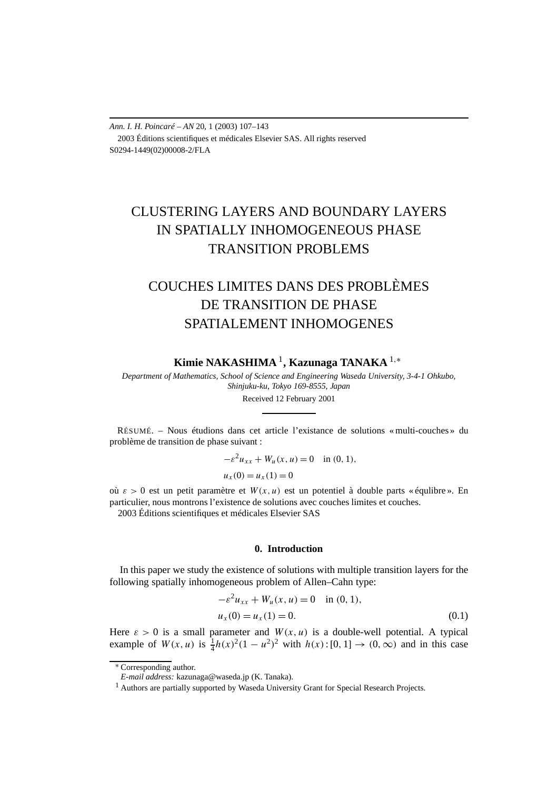*Ann. I. H. Poincaré – AN* 20, 1 (2003) 107–143 2003 Éditions scientifiques et médicales Elsevier SAS. All rights reserved S0294-1449(02)00008-2/FLA

# CLUSTERING LAYERS AND BOUNDARY LAYERS IN SPATIALLY INHOMOGENEOUS PHASE TRANSITION PROBLEMS

# COUCHES LIMITES DANS DES PROBLÈMES DE TRANSITION DE PHASE SPATIALEMENT INHOMOGENES

**Kimie NAKASHIMA** <sup>1</sup>**, Kazunaga TANAKA** <sup>1</sup>*,*<sup>∗</sup>

*Department of Mathematics, School of Science and Engineering Waseda University, 3-4-1 Ohkubo, Shinjuku-ku, Tokyo 169-8555, Japan*

Received 12 February 2001

RÉSUMÉ. – Nous étudions dans cet article l'existance de solutions « multi-couches » du problème de transition de phase suivant :

$$
-\varepsilon^2 u_{xx} + W_u(x, u) = 0 \text{ in } (0, 1),
$$
  
 
$$
u_x(0) = u_x(1) = 0
$$

où  $\varepsilon > 0$  est un petit paramètre et  $W(x, u)$  est un potentiel à double parts « équlibre ». En particulier, nous montrons l'existence de solutions avec couches limites et couches. 2003 Éditions scientifiques et médicales Elsevier SAS

#### **0. Introduction**

In this paper we study the existence of solutions with multiple transition layers for the following spatially inhomogeneous problem of Allen–Cahn type:

$$
-\varepsilon^2 u_{xx} + W_u(x, u) = 0 \quad \text{in (0, 1)},
$$
  
 
$$
u_x(0) = u_x(1) = 0.
$$
 (0.1)

Here  $\varepsilon > 0$  is a small parameter and  $W(x, u)$  is a double-well potential. A typical example of  $W(x, u)$  is  $\frac{1}{4}h(x)^2(1 - u^2)^2$  with  $h(x):[0, 1] \rightarrow (0, \infty)$  and in this case

<sup>∗</sup> Corresponding author.

*E-mail address:* kazunaga@waseda.jp (K. Tanaka).

<sup>&</sup>lt;sup>1</sup> Authors are partially supported by Waseda University Grant for Special Research Projects.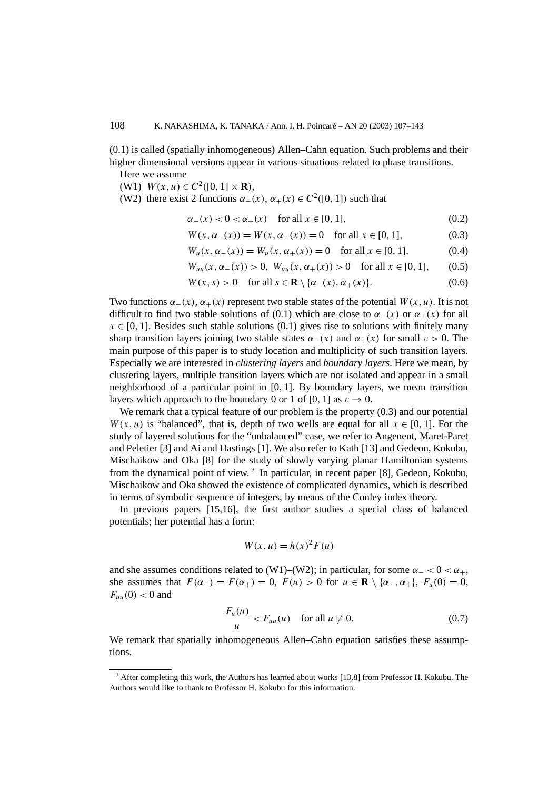(0.1) is called (spatially inhomogeneous) Allen–Cahn equation. Such problems and their higher dimensional versions appear in various situations related to phase transitions.

Here we assume

(W1)  $W(x, u) \in C^2([0, 1] \times \mathbf{R})$ ,

(W2) there exist 2 functions  $\alpha_-(x)$ ,  $\alpha_+(x) \in C^2([0, 1])$  such that

$$
\alpha_{-}(x) < 0 < \alpha_{+}(x) \quad \text{for all } x \in [0, 1],\tag{0.2}
$$

$$
W(x, \alpha_{-}(x)) = W(x, \alpha_{+}(x)) = 0 \quad \text{for all } x \in [0, 1], \tag{0.3}
$$

$$
W_u(x, \alpha_-(x)) = W_u(x, \alpha_+(x)) = 0 \text{ for all } x \in [0, 1], \tag{0.4}
$$

$$
W_{uu}(x, \alpha_-(x)) > 0, \ W_{uu}(x, \alpha_+(x)) > 0 \quad \text{for all } x \in [0, 1], \tag{0.5}
$$

$$
W(x, s) > 0 \quad \text{for all } s \in \mathbf{R} \setminus \{ \alpha_-(x), \alpha_+(x) \}. \tag{0.6}
$$

Two functions  $\alpha_-(x)$ ,  $\alpha_+(x)$  represent two stable states of the potential  $W(x, u)$ . It is not difficult to find two stable solutions of (0.1) which are close to  $\alpha_-(x)$  or  $\alpha_+(x)$  for all  $x \in [0, 1]$ . Besides such stable solutions (0.1) gives rise to solutions with finitely many sharp transition layers joining two stable states  $\alpha_-(x)$  and  $\alpha_+(x)$  for small  $\varepsilon > 0$ . The main purpose of this paper is to study location and multiplicity of such transition layers. Especially we are interested in *clustering layers* and *boundary layers*. Here we mean, by clustering layers, multiple transition layers which are not isolated and appear in a small neighborhood of a particular point in [0*,* 1]. By boundary layers, we mean transition layers which approach to the boundary 0 or 1 of [0, 1] as  $\varepsilon \to 0$ .

We remark that a typical feature of our problem is the property  $(0.3)$  and our potential *W*(*x, u*) is "balanced", that is, depth of two wells are equal for all  $x \in [0, 1]$ . For the study of layered solutions for the "unbalanced" case, we refer to Angenent, Maret-Paret and Peletier [3] and Ai and Hastings [1]. We also refer to Kath [13] and Gedeon, Kokubu, Mischaikow and Oka [8] for the study of slowly varying planar Hamiltonian systems from the dynamical point of view. <sup>2</sup> In particular, in recent paper [8], Gedeon, Kokubu, Mischaikow and Oka showed the existence of complicated dynamics, which is described in terms of symbolic sequence of integers, by means of the Conley index theory.

In previous papers [15,16], the first author studies a special class of balanced potentials; her potential has a form:

$$
W(x, u) = h(x)^2 F(u)
$$

and she assumes conditions related to (W1)–(W2); in particular, for some  $\alpha$  *\_*  $<$  0  $< \alpha$ <sub>+</sub>, she assumes that  $F(\alpha_{-}) = F(\alpha_{+}) = 0$ ,  $F(u) > 0$  for  $u \in \mathbb{R} \setminus {\alpha_{-}, \alpha_{+}}$ ,  $F_u(0) = 0$ ,  $F_{uu}(0) < 0$  and

$$
\frac{F_u(u)}{u} < F_{uu}(u) \quad \text{for all } u \neq 0. \tag{0.7}
$$

We remark that spatially inhomogeneous Allen–Cahn equation satisfies these assumptions.

 $<sup>2</sup>$  After completing this work, the Authors has learned about works [13,8] from Professor H. Kokubu. The</sup> Authors would like to thank to Professor H. Kokubu for this information.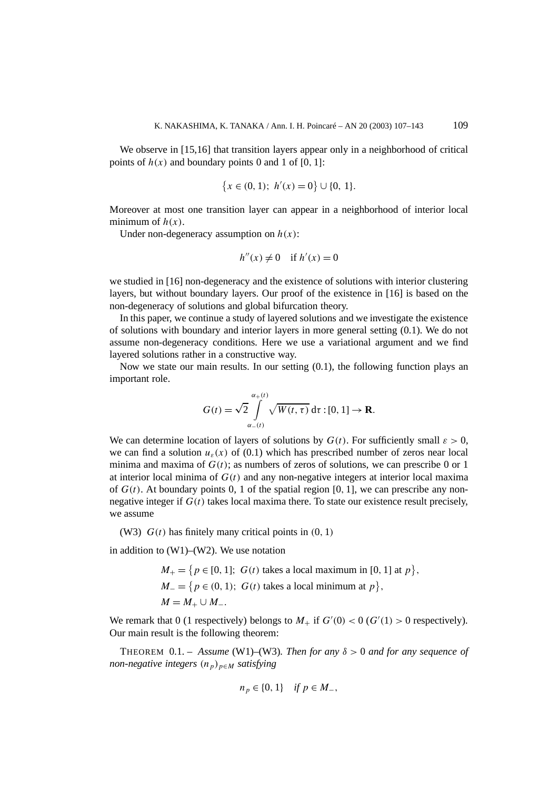We observe in [15,16] that transition layers appear only in a neighborhood of critical points of  $h(x)$  and boundary points 0 and 1 of [0, 1]:

$$
\{x \in (0, 1); h'(x) = 0\} \cup \{0, 1\}.
$$

Moreover at most one transition layer can appear in a neighborhood of interior local minimum of  $h(x)$ .

Under non-degeneracy assumption on  $h(x)$ :

$$
h''(x) \neq 0 \quad \text{if } h'(x) = 0
$$

we studied in [16] non-degeneracy and the existence of solutions with interior clustering layers, but without boundary layers. Our proof of the existence in [16] is based on the non-degeneracy of solutions and global bifurcation theory.

In this paper, we continue a study of layered solutions and we investigate the existence of solutions with boundary and interior layers in more general setting (0.1). We do not assume non-degeneracy conditions. Here we use a variational argument and we find layered solutions rather in a constructive way.

Now we state our main results. In our setting (0.1), the following function plays an important role.

$$
G(t) = \sqrt{2} \int_{\alpha_{-}(t)}^{\alpha_{+}(t)} \sqrt{W(t,\tau)} d\tau : [0,1] \to \mathbf{R}.
$$

We can determine location of layers of solutions by  $G(t)$ . For sufficiently small  $\varepsilon > 0$ , we can find a solution  $u_{\varepsilon}(x)$  of (0.1) which has prescribed number of zeros near local minima and maxima of  $G(t)$ ; as numbers of zeros of solutions, we can prescribe 0 or 1 at interior local minima of  $G(t)$  and any non-negative integers at interior local maxima of  $G(t)$ . At boundary points 0, 1 of the spatial region [0, 1], we can prescribe any nonnegative integer if  $G(t)$  takes local maxima there. To state our existence result precisely, we assume

(W3) *G(t)* has finitely many critical points in *(*0*,* 1*)*

in addition to (W1)–(W2). We use notation

 $M_{+} = \{ p \in [0, 1]; G(t) \text{ takes a local maximum in } [0, 1] \text{ at } p \},$ *M* = { $p \in (0, 1)$ ; *G(t)* takes a local minimum at  $p$ },  $M = M_+ \cup M_-.$ 

We remark that 0 (1 respectively) belongs to  $M_+$  if  $G'(0) < 0$  ( $G'(1) > 0$  respectively). Our main result is the following theorem:

THEOREM  $0.1. -$  *Assume* (W1)–(W3)*. Then for any*  $\delta > 0$  *and for any sequence of non-negative integers*  $(n_p)_{p \in M}$  *satisfying* 

$$
n_p \in \{0, 1\} \quad \text{if } p \in M_-,
$$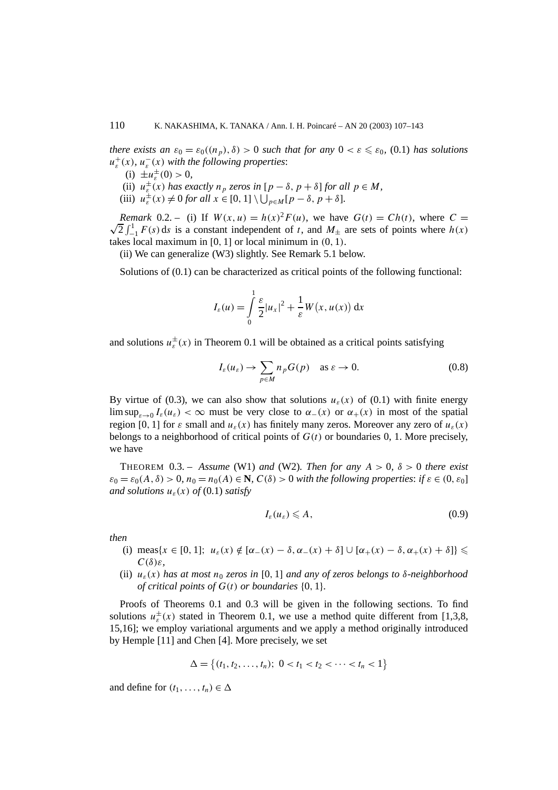*there exists an*  $\varepsilon_0 = \varepsilon_0((n_p), \delta) > 0$  *such that for any*  $0 < \varepsilon \leq \varepsilon_0$ , (0.1) *has solutions*  $u_{\varepsilon}^{+}(x)$ *,*  $u_{\varepsilon}^{-}(x)$  *with the following properties:* 

- (i)  $\pm u_{\varepsilon}^{\pm}(0) > 0$ ,
- (ii)  $u_{\varepsilon}^{\pm}(x)$  *has exactly*  $n_p$  *zeros in*  $[p \delta, p + \delta]$  *for all*  $p \in M$ *,*
- (iii)  $u_{\varepsilon}^{\pm}(x) \neq 0$  *for all*  $x \in [0, 1] \setminus \bigcup_{p \in M} [p \delta, p + \delta].$

*Remark* 0.2. – (i) If  $W(x, u) = h(x)^2 F(u)$ , we have  $G(t) = Ch(t)$ , where  $C =$ √  $\frac{1}{2} \int_{-1}^{1} F(s) ds$  is a constant independent of *t*, and  $M_{\pm}$  are sets of points where  $h(x)$ takes local maximum in [0*,* 1] or local minimum in *(*0*,* 1*)*.

(ii) We can generalize (W3) slightly. See Remark 5.1 below.

Solutions of (0.1) can be characterized as critical points of the following functional:

$$
I_{\varepsilon}(u) = \int_{0}^{1} \frac{\varepsilon}{2} |u_{x}|^{2} + \frac{1}{\varepsilon} W(x, u(x)) dx
$$

and solutions  $u_{\varepsilon}^{\pm}(x)$  in Theorem 0.1 will be obtained as a critical points satisfying

$$
I_{\varepsilon}(u_{\varepsilon}) \to \sum_{p \in M} n_p G(p) \quad \text{as } \varepsilon \to 0.
$$
 (0.8)

By virtue of (0.3), we can also show that solutions  $u_{\varepsilon}(x)$  of (0.1) with finite energy lim sup<sub> $s\rightarrow 0$ </sub>  $I_{\varepsilon}(u_{\varepsilon}) < \infty$  must be very close to  $\alpha_-(x)$  or  $\alpha_+(x)$  in most of the spatial region [0, 1] for  $\varepsilon$  small and  $u_{\varepsilon}(x)$  has finitely many zeros. Moreover any zero of  $u_{\varepsilon}(x)$ belongs to a neighborhood of critical points of  $G(t)$  or boundaries 0, 1. More precisely, we have

THEOREM  $0.3$  – Assume (W1) and (W2). Then for any  $A > 0$ ,  $\delta > 0$  there exist  $\varepsilon_0 = \varepsilon_0(A, \delta) > 0$ ,  $n_0 = n_0(A) \in \mathbb{N}$ ,  $C(\delta) > 0$  *with the following properties: if*  $\varepsilon \in (0, \varepsilon_0]$ *and solutions*  $u_{\varepsilon}(x)$  *of* (0.1) *satisfy* 

$$
I_{\varepsilon}(u_{\varepsilon}) \leqslant A,\tag{0.9}
$$

*then*

- (i) meas $\{x \in [0, 1]; u_{\varepsilon}(x) \notin [\alpha_-(x) \delta, \alpha_-(x) + \delta] \cup [\alpha_+(x) \delta, \alpha_+(x) + \delta] \}$ *C(δ)ε,*
- (ii)  $u_{\varepsilon}(x)$  *has at most*  $n_0$  *zeros in* [0, 1] *and any of zeros belongs to*  $\delta$ -*neighborhood of critical points of G(t) or boundaries* {0*,* 1}*.*

Proofs of Theorems 0.1 and 0.3 will be given in the following sections. To find solutions  $u_{\varepsilon}^{\pm}(x)$  stated in Theorem 0.1, we use a method quite different from [1,3,8, 15,16]; we employ variational arguments and we apply a method originally introduced by Hemple [11] and Chen [4]. More precisely, we set

$$
\Delta = \{(t_1, t_2, \ldots, t_n); \ 0 < t_1 < t_2 < \cdots < t_n < 1\}
$$

and define for  $(t_1, \ldots, t_n) \in \Delta$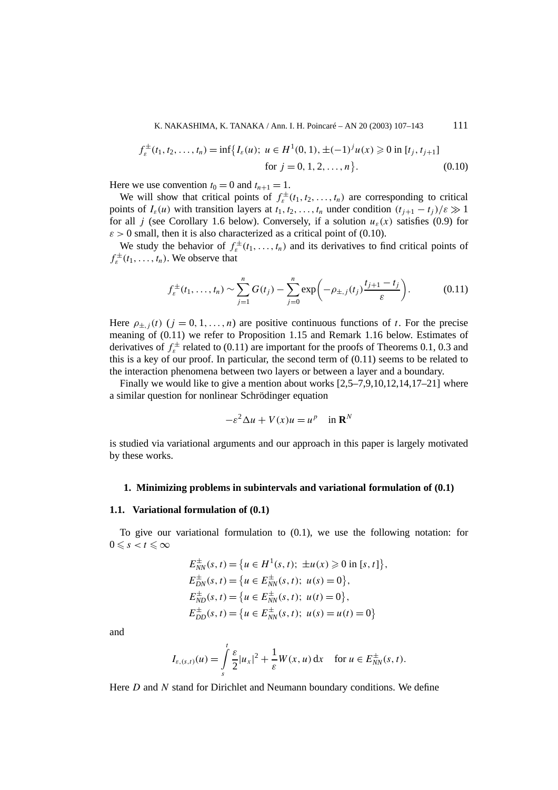K. NAKASHIMA, K. TANAKA / Ann. I. H. Poincaré – AN 20 (2003) 107–143 111

$$
f_{\varepsilon}^{\pm}(t_1, t_2, \dots, t_n) = \inf \{ I_{\varepsilon}(u); \ u \in H^1(0, 1), \pm (-1)^j u(x) \geq 0 \text{ in } [t_j, t_{j+1}]
$$
  
for  $j = 0, 1, 2, \dots, n \}.$  (0.10)

Here we use convention  $t_0 = 0$  and  $t_{n+1} = 1$ .

We will show that critical points of  $f_{\varepsilon}^{\pm}(t_1, t_2, \ldots, t_n)$  are corresponding to critical points of  $I_{\varepsilon}(u)$  with transition layers at  $t_1, t_2, \ldots, t_n$  under condition  $(t_{i+1} - t_i)/\varepsilon \gg 1$ for all *j* (see Corollary 1.6 below). Conversely, if a solution  $u_{\varepsilon}(x)$  satisfies (0.9) for  $\varepsilon > 0$  small, then it is also characterized as a critical point of (0.10).

We study the behavior of  $f_{\varepsilon}^{\pm}(t_1,\ldots,t_n)$  and its derivatives to find critical points of  $f_{\varepsilon}^{\pm}(t_1,\ldots,t_n)$ . We observe that

$$
f_{\varepsilon}^{\pm}(t_1,\ldots,t_n) \sim \sum_{j=1}^n G(t_j) - \sum_{j=0}^n \exp\biggl(-\rho_{\pm,j}(t_j) \frac{t_{j+1}-t_j}{\varepsilon}\biggr). \hspace{1cm} (0.11)
$$

Here  $\rho_{\pm i}(t)$  ( $j = 0, 1, \ldots, n$ ) are positive continuous functions of t. For the precise meaning of (0.11) we refer to Proposition 1.15 and Remark 1.16 below. Estimates of derivatives of  $f_{\varepsilon}^{\pm}$  related to (0.11) are important for the proofs of Theorems 0.1, 0.3 and this is a key of our proof. In particular, the second term of  $(0.11)$  seems to be related to the interaction phenomena between two layers or between a layer and a boundary.

Finally we would like to give a mention about works [2,5–7,9,10,12,14,17–21] where a similar question for nonlinear Schrödinger equation

$$
-\varepsilon^2 \Delta u + V(x)u = u^p \quad \text{in } \mathbf{R}^N
$$

is studied via variational arguments and our approach in this paper is largely motivated by these works.

#### **1. Minimizing problems in subintervals and variational formulation of (0.1)**

#### **1.1. Variational formulation of (0.1)**

To give our variational formulation to (0.1), we use the following notation: for  $0 \leqslant s < t \leqslant \infty$ 

$$
E_{NN}^{\pm}(s, t) = \{u \in H^{1}(s, t); \pm u(x) \ge 0 \text{ in } [s, t]\},
$$
  
\n
$$
E_{DN}^{\pm}(s, t) = \{u \in E_{NN}^{\pm}(s, t); u(s) = 0\},
$$
  
\n
$$
E_{ND}^{\pm}(s, t) = \{u \in E_{NN}^{\pm}(s, t); u(t) = 0\},
$$
  
\n
$$
E_{DD}^{\pm}(s, t) = \{u \in E_{NN}^{\pm}(s, t); u(s) = u(t) = 0\}
$$

and

$$
I_{\varepsilon,(s,t)}(u) = \int\limits_s^t \frac{\varepsilon}{2} |u_x|^2 + \frac{1}{\varepsilon} W(x,u) \, \mathrm{d}x \quad \text{ for } u \in E_{NN}^{\pm}(s,t).
$$

Here *D* and *N* stand for Dirichlet and Neumann boundary conditions. We define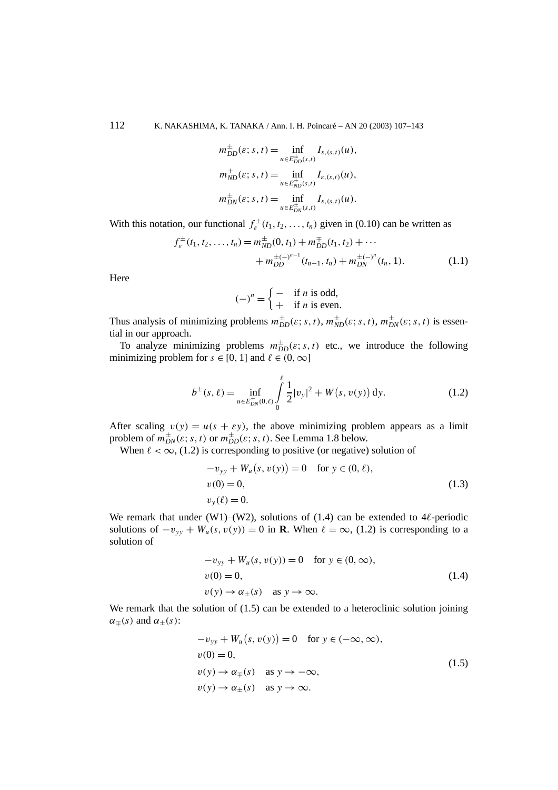$$
m_{DD}^{\pm}(\varepsilon; s, t) = \inf_{u \in E_{DD}^{\pm}(s,t)} I_{\varepsilon,(s,t)}(u),
$$
  
\n
$$
m_{ND}^{\pm}(\varepsilon; s, t) = \inf_{u \in E_{ND}^{\pm}(s,t)} I_{\varepsilon,(s,t)}(u),
$$
  
\n
$$
m_{DN}^{\pm}(\varepsilon; s, t) = \inf_{u \in E_{DN}^{\pm}(s,t)} I_{\varepsilon,(s,t)}(u).
$$

With this notation, our functional  $f_{\varepsilon}^{\pm}(t_1, t_2, \ldots, t_n)$  given in (0.10) can be written as

$$
f_{\varepsilon}^{\pm}(t_1, t_2, \dots, t_n) = m_{ND}^{\pm}(0, t_1) + m_{DD}^{\mp}(t_1, t_2) + \dots
$$
  
+ 
$$
m_{DD}^{\pm(-)^{n-1}}(t_{n-1}, t_n) + m_{DN}^{\pm(-)^n}(t_n, 1).
$$
 (1.1)

Here

$$
(-)^n = \begin{cases} - & \text{if } n \text{ is odd,} \\ + & \text{if } n \text{ is even.} \end{cases}
$$

Thus analysis of minimizing problems  $m_{DD}^{\pm}(\varepsilon; s, t)$ ,  $m_{ND}^{\pm}(\varepsilon; s, t)$ ,  $m_{DN}^{\pm}(\varepsilon; s, t)$  is essential in our approach.

To analyze minimizing problems  $m_{DD}^{\pm}(\varepsilon; s, t)$  etc., we introduce the following minimizing problem for  $s \in [0, 1]$  and  $\ell \in (0, \infty]$ 

$$
b^{\pm}(s,\ell) = \inf_{u \in E_{DN}^{\pm}(0,\ell)} \int_{0}^{\ell} \frac{1}{2} |v_y|^2 + W(s,v(y)) \, dy. \tag{1.2}
$$

After scaling  $v(y) = u(s + \varepsilon y)$ , the above minimizing problem appears as a limit problem of  $m_{DN}^{\pm}(\varepsilon; s, t)$  or  $m_{DD}^{\pm}(\varepsilon; s, t)$ . See Lemma 1.8 below.

When  $\ell < \infty$ , (1.2) is corresponding to positive (or negative) solution of

$$
-v_{yy} + W_u(s, v(y)) = 0 \text{ for } y \in (0, \ell),
$$
  
\n
$$
v(0) = 0,
$$
  
\n
$$
v_y(\ell) = 0.
$$
\n(1.3)

We remark that under (W1)–(W2), solutions of  $(1.4)$  can be extended to 4 $\ell$ -periodic solutions of  $-v_{yy} + W_u(s, v(y)) = 0$  in **R**. When  $\ell = \infty$ , (1.2) is corresponding to a solution of

$$
-v_{yy} + W_u(s, v(y)) = 0 \quad \text{for } y \in (0, \infty),
$$
  
\n
$$
v(0) = 0,
$$
  
\n
$$
v(y) \rightarrow \alpha_{\pm}(s) \quad \text{as } y \rightarrow \infty.
$$
\n(1.4)

We remark that the solution of  $(1.5)$  can be extended to a heteroclinic solution joining  $\alpha_{\pm}(s)$  and  $\alpha_{+}(s)$ :

$$
-v_{yy} + W_u(s, v(y)) = 0 \text{ for } y \in (-\infty, \infty),
$$
  
\n
$$
v(0) = 0,
$$
  
\n
$$
v(y) \rightarrow \alpha_{\pm}(s) \text{ as } y \rightarrow -\infty,
$$
  
\n
$$
v(y) \rightarrow \alpha_{\pm}(s) \text{ as } y \rightarrow \infty.
$$
  
\n(1.5)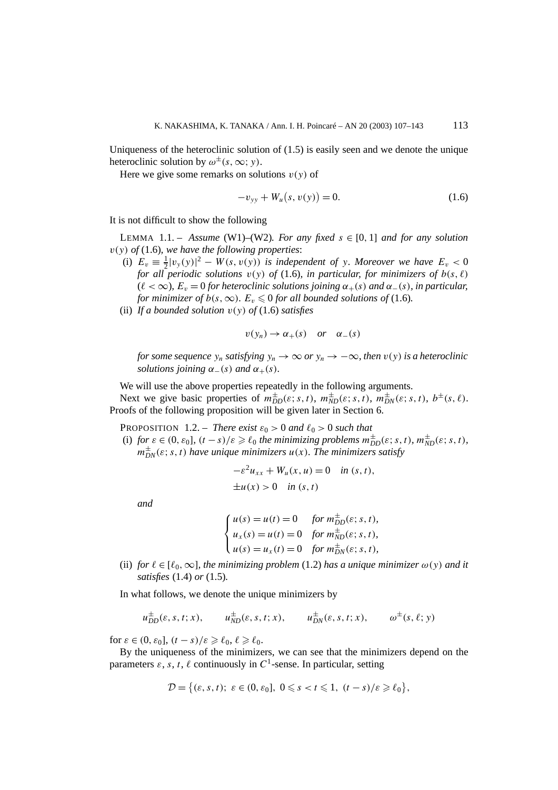Uniqueness of the heteroclinic solution of (1.5) is easily seen and we denote the unique heteroclinic solution by  $\omega^{\pm}(s, \infty; y)$ .

Here we give some remarks on solutions  $v(y)$  of

$$
-v_{yy} + W_u(s, v(y)) = 0.
$$
 (1.6)

It is not difficult to show the following

LEMMA 1.1. – *Assume* (W1)–(W2). For any fixed  $s \in [0, 1]$  and for any solution *v(y) of* (1.6)*, we have the following properties*:

- (i)  $E_v \equiv \frac{1}{2} |v_y(y)|^2 W(s, v(y))$  *is independent of y. Moreover we have*  $E_v < 0$ *for all periodic solutions*  $v(y)$  *of* (1.6)*, in particular, for minimizers of*  $b(s, \ell)$  $(\ell < \infty)$ ,  $E_v = 0$  *for heteroclinic solutions joining*  $\alpha_+(s)$  *and*  $\alpha_-(s)$ *, in particular, for minimizer of b(s,*  $\infty$ ).  $E_v \leq 0$  *for all bounded solutions of (1.6).*
- (ii) *If a bounded solution v(y) of* (1.6) *satisfies*

$$
v(y_n) \to \alpha_+(s) \quad or \quad \alpha_-(s)
$$

*for some sequence*  $y_n$  *satisfying*  $y_n \to \infty$  *or*  $y_n \to -\infty$ *, then*  $v(y)$  *is a heteroclinic solutions joining*  $\alpha_-(s)$  *and*  $\alpha_+(s)$ *.* 

We will use the above properties repeatedly in the following arguments.

Next we give basic properties of  $m_{DD}^{\pm}(\varepsilon; s, t)$ ,  $m_{ND}^{\pm}(\varepsilon; s, t)$ ,  $m_{DN}^{\pm}(\varepsilon; s, t)$ ,  $b^{\pm}(s, \ell)$ . Proofs of the following proposition will be given later in Section 6.

**PROPOSITION** 1.2. – *There exist*  $\varepsilon_0 > 0$  *and*  $\ell_0 > 0$  *such that* 

(i) *for*  $\varepsilon \in (0, \varepsilon_0]$ ,  $(t - s)/\varepsilon \geq \ell_0$  *the minimizing problems*  $m_{DD}^{\pm}(\varepsilon; s, t)$ *,*  $m_{ND}^{\pm}(\varepsilon; s, t)$ *,*  $m_{DN}^{\pm}(\varepsilon; s, t)$  *have unique minimizers*  $u(x)$ *. The minimizers satisfy* 

$$
-\varepsilon^2 u_{xx} + W_u(x, u) = 0 \quad \text{in } (s, t),
$$
  

$$
\pm u(x) > 0 \quad \text{in } (s, t)
$$

*and*

$$
\begin{cases}\n u(s) = u(t) = 0 & \text{for } m_{DD}^{\pm}(\varepsilon; s, t), \\
 u_x(s) = u(t) = 0 & \text{for } m_{ND}^{\pm}(\varepsilon; s, t), \\
 u(s) = u_x(t) = 0 & \text{for } m_{DN}^{\pm}(\varepsilon; s, t),\n\end{cases}
$$

(ii) *for*  $\ell \in [\ell_0, \infty]$ *, the minimizing problem* (1.2) *has a unique minimizer*  $\omega(y)$  *and it satisfies* (1.4) *or* (1.5)*.*

In what follows, we denote the unique minimizers by

$$
u_{DD}^{\pm}(\varepsilon, s, t; x), \qquad u_{ND}^{\pm}(\varepsilon, s, t; x), \qquad u_{DN}^{\pm}(\varepsilon, s, t; x), \qquad \omega^{\pm}(\varepsilon, \ell; y)
$$

for  $\varepsilon \in (0, \varepsilon_0]$ ,  $(t - s)/\varepsilon \geq \ell_0$ ,  $\ell \geq \ell_0$ .

By the uniqueness of the minimizers, we can see that the minimizers depend on the parameters  $\varepsilon$ ,  $\bar{s}$ ,  $\bar{t}$ ,  $\ell$  continuously in  $C^1$ -sense. In particular, setting

$$
\mathcal{D} = \big\{ (\varepsilon, s, t); \ \varepsilon \in (0, \varepsilon_0], \ 0 \leq s < t \leq 1, \ (t - s)/\varepsilon \geq \ell_0 \big\},
$$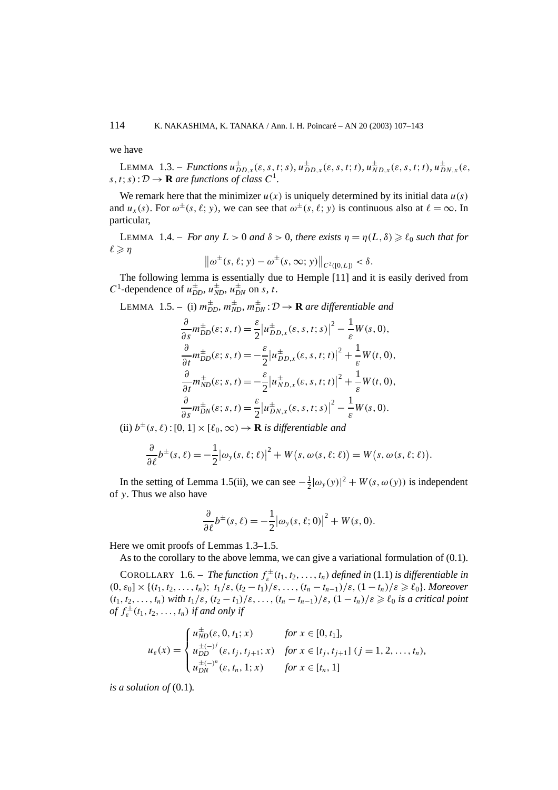we have

**LEMMA** 1.3. – *Functions*  $u_{DD,x}^{\pm}(\varepsilon, s, t; s)$ ,  $u_{DD,x}^{\pm}(\varepsilon, s, t; t)$ ,  $u_{ND,x}^{\pm}(\varepsilon, s, t; t)$ ,  $u_{DN,x}^{\pm}(\varepsilon, s, t; t)$  $s, t; s$ :  $D \rightarrow \mathbf{R}$  *are functions of class*  $C^1$ .

We remark here that the minimizer  $u(x)$  is uniquely determined by its initial data  $u(s)$ and  $u_x(s)$ . For  $\omega^{\pm}(s, \ell; y)$ , we can see that  $\omega^{\pm}(s, \ell; y)$  is continuous also at  $\ell = \infty$ . In particular,

LEMMA 1.4. – *For any*  $L > 0$  *and*  $\delta > 0$ *, there exists*  $\eta = \eta(L, \delta) \geq \ell_0$  *such that for*  $\ell \geqslant \eta$ 

$$
\|\omega^{\pm}(s,\ell; y) - \omega^{\pm}(s,\infty; y)\|_{C^{2}([0,L])} < \delta.
$$

The following lemma is essentially due to Hemple [11] and it is easily derived from *C*<sup>1</sup>-dependence of  $u_{DD}^{\pm}$ ,  $u_{ND}^{\pm}$ ,  $u_{DN}^{\pm}$  on *s*, *t*.

LEMMA 1.5. – (i)  $m_{DD}^{\pm}$ ,  $m_{ND}^{\pm}$ ,  $m_{DN}^{\pm}$ :  $\mathcal{D} \rightarrow \mathbf{R}$  are differentiable and

$$
\frac{\partial}{\partial s} m_{DD}^{\pm}(\varepsilon; s, t) = \frac{\varepsilon}{2} \left| u_{DD,x}^{\pm}(\varepsilon, s, t; s) \right|^2 - \frac{1}{\varepsilon} W(s, 0),
$$
  

$$
\frac{\partial}{\partial t} m_{DD}^{\pm}(\varepsilon; s, t) = -\frac{\varepsilon}{2} \left| u_{DD,x}^{\pm}(\varepsilon, s, t; t) \right|^2 + \frac{1}{\varepsilon} W(t, 0),
$$
  

$$
\frac{\partial}{\partial t} m_{ND}^{\pm}(\varepsilon; s, t) = -\frac{\varepsilon}{2} \left| u_{ND,x}^{\pm}(\varepsilon, s, t; t) \right|^2 + \frac{1}{\varepsilon} W(t, 0),
$$
  

$$
\frac{\partial}{\partial s} m_{DN}^{\pm}(\varepsilon; s, t) = \frac{\varepsilon}{2} \left| u_{DN,x}^{\pm}(\varepsilon, s, t; s) \right|^2 - \frac{1}{\varepsilon} W(s, 0).
$$

(ii)  $b^{\pm}(s, \ell): [0, 1] \times [\ell_0, \infty) \rightarrow \mathbf{R}$  *is differentiable and* 

$$
\frac{\partial}{\partial \ell}b^{\pm}(s,\ell)=-\frac{1}{2}|\omega_{y}(s,\ell;\ell)|^{2}+W(s,\omega(s,\ell;\ell))=W(s,\omega(s,\ell;\ell)).
$$

In the setting of Lemma 1.5(ii), we can see  $-\frac{1}{2}|\omega_y(y)|^2 + W(s, \omega(y))$  is independent of *y*. Thus we also have

$$
\frac{\partial}{\partial \ell}b^{\pm}(s,\ell)=-\frac{1}{2}|\omega_{y}(s,\ell;0)|^{2}+W(s,0).
$$

Here we omit proofs of Lemmas 1.3–1.5.

As to the corollary to the above lemma, we can give a variational formulation of (0.1).

COROLLARY 1.6. – *The function*  $f_{\varepsilon}^{\pm}(t_1, t_2,..., t_n)$  *defined in* (1.1) *is differentiable in*  $(0, \varepsilon_0] \times \{(t_1, t_2, \ldots, t_n); t_1/\varepsilon, (t_2 - t_1)/\varepsilon, \ldots, (t_n - t_{n-1})/\varepsilon, (1 - t_n)/\varepsilon \geq \ell_0\}$ *. Moreover*  $(t_1, t_2, \ldots, t_n)$  *with*  $t_1/\varepsilon$ ,  $(t_2 - t_1)/\varepsilon$ , ...,  $(t_n - t_{n-1})/\varepsilon$ ,  $(1 - t_n)/\varepsilon \geq \ell_0$  *is a critical point*  $\int_{\varepsilon}^{f} f_{\varepsilon}^{(t)}(t_1, t_2, \ldots, t_n) \text{ if and only if}$ 

$$
u_{\varepsilon}(x) = \begin{cases} u_{ND}^{\pm}(\varepsilon, 0, t_1; x) & \text{for } x \in [0, t_1], \\ u_{DD}^{\pm(-)^j}(\varepsilon, t_j, t_{j+1}; x) & \text{for } x \in [t_j, t_{j+1}] \ (j = 1, 2, \dots, t_n), \\ u_{DN}^{\pm(-)^n}(\varepsilon, t_n, 1; x) & \text{for } x \in [t_n, 1] \end{cases}
$$

*is a solution of* (0.1)*.*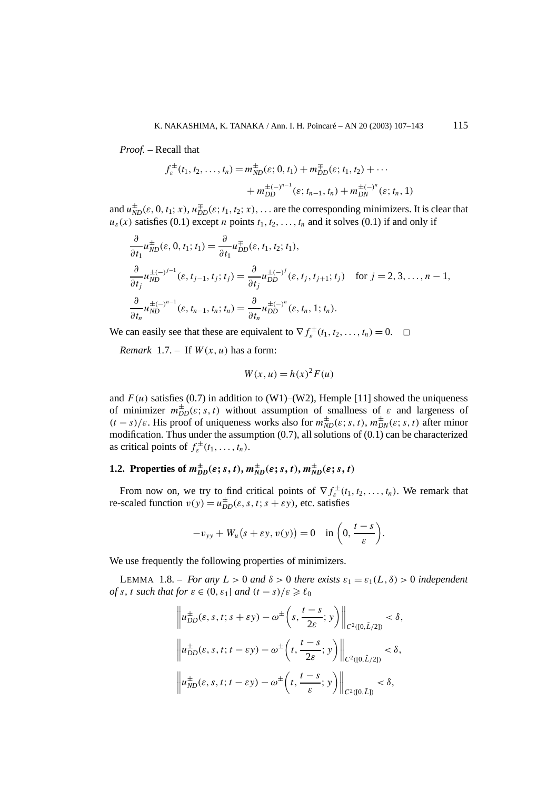*Proof. –* Recall that

$$
f_{\varepsilon}^{\pm}(t_1, t_2, \dots, t_n) = m_{ND}^{\pm}(\varepsilon; 0, t_1) + m_{DD}^{\mp}(\varepsilon; t_1, t_2) + \dots
$$

$$
+ m_{DD}^{\pm(-)^{n-1}}(\varepsilon; t_{n-1}, t_n) + m_{DN}^{\pm(-)^n}(\varepsilon; t_n, 1)
$$

and  $u_{ND}^{\pm}(\varepsilon, 0, t_1; x)$ ,  $u_{DD}^{\pm}(\varepsilon; t_1, t_2; x)$ , ... are the corresponding minimizers. It is clear that  $u_{\varepsilon}(x)$  satisfies (0.1) except *n* points  $t_1, t_2, \ldots, t_n$  and it solves (0.1) if and only if

$$
\frac{\partial}{\partial t_1} u_{ND}^{\pm}(\varepsilon, 0, t_1; t_1) = \frac{\partial}{\partial t_1} u_{DD}^{\pm}(\varepsilon, t_1, t_2; t_1), \n\frac{\partial}{\partial t_j} u_{ND}^{\pm(-)^{j-1}}(\varepsilon, t_{j-1}, t_j; t_j) = \frac{\partial}{\partial t_j} u_{DD}^{\pm(-)^j}(\varepsilon, t_j, t_{j+1}; t_j) \quad \text{for } j = 2, 3, ..., n-1, \n\frac{\partial}{\partial t_n} u_{ND}^{\pm(-)^{n-1}}(\varepsilon, t_{n-1}, t_n; t_n) = \frac{\partial}{\partial t_n} u_{DD}^{\pm(-)^n}(\varepsilon, t_n, 1; t_n).
$$

We can easily see that these are equivalent to  $\nabla f_{\varepsilon}^{\pm}(t_1, t_2, \dots, t_n) = 0. \quad \Box$ 

*Remark* 1.7. – If  $W(x, u)$  has a form:

$$
W(x, u) = h(x)^2 F(u)
$$

and  $F(u)$  satisfies (0.7) in addition to (W1)–(W2), Hemple [11] showed the uniqueness of minimizer  $m_{DD}^{\pm}(\varepsilon; s, t)$  without assumption of smallness of  $\varepsilon$  and largeness of  $(t - s)/\varepsilon$ . His proof of uniqueness works also for  $m_{ND}^{\pm}(\varepsilon; s, t)$ ,  $m_{DN}^{\pm}(\varepsilon; s, t)$  after minor modification. Thus under the assumption  $(0.7)$ , all solutions of  $(0.1)$  can be characterized as critical points of  $f_{\varepsilon}^{\pm}(t_1,\ldots,t_n)$ .

## **1.2.** Properties of  $m_{DD}^{\pm}(\varepsilon; s, t)$ ,  $m_{ND}^{\pm}(\varepsilon; s, t)$ ,  $m_{ND}^{\pm}(\varepsilon; s, t)$

From now on, we try to find critical points of  $\nabla f_{\varepsilon}^{\pm}(t_1, t_2, \ldots, t_n)$ . We remark that re-scaled function  $v(y) = u_{DD}^{\pm}(\varepsilon, s, t; s + \varepsilon y)$ , etc. satisfies

$$
-v_{yy} + W_u(s + \varepsilon y, v(y)) = 0 \quad \text{in } \left(0, \frac{t-s}{\varepsilon}\right).
$$

We use frequently the following properties of minimizers.

LEMMA 1.8. – *For any*  $L > 0$  *and*  $\delta > 0$  *there exists*  $\varepsilon_1 = \varepsilon_1(L, \delta) > 0$  *independent of s*, *t such that for*  $\varepsilon \in (0, \varepsilon_1]$  *and*  $(t - s)/\varepsilon \geq \ell_0$ 

$$
\left\| u_{DD}^{\pm}(\varepsilon, s, t; s + \varepsilon y) - \omega^{\pm} \left( s, \frac{t - s}{2\varepsilon}; y \right) \right\|_{C^{2}([0, \tilde{L}/2])} < \delta,
$$
  

$$
\left\| u_{DD}^{\pm}(\varepsilon, s, t; t - \varepsilon y) - \omega^{\pm} \left( t, \frac{t - s}{2\varepsilon}; y \right) \right\|_{C^{2}([0, \tilde{L}/2])} < \delta,
$$
  

$$
\left\| u_{ND}^{\pm}(\varepsilon, s, t; t - \varepsilon y) - \omega^{\pm} \left( t, \frac{t - s}{\varepsilon}; y \right) \right\|_{C^{2}([0, \tilde{L}])} < \delta,
$$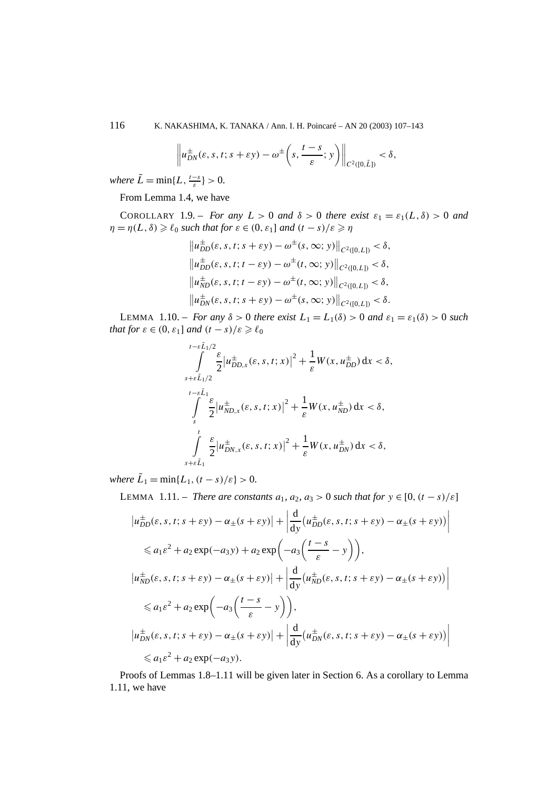116 K. NAKASHIMA, K. TANAKA / Ann. I. H. Poincaré – AN 20 (2003) 107–143

$$
\left\|u_{DN}^{\pm}(\varepsilon,s,t;s+\varepsilon y)-\omega^{\pm}\left(s,\frac{t-s}{\varepsilon};y\right)\right\|_{C^{2}([0,\tilde{L}])}<\delta,
$$

*where*  $\tilde{L} = \min\{L, \frac{t-s}{\varepsilon}\} > 0$ .

From Lemma 1.4, we have

COROLLARY 1.9. – *For any*  $L > 0$  *and*  $\delta > 0$  *there exist*  $\varepsilon_1 = \varepsilon_1(L, \delta) > 0$  *and*  $\eta = \eta(L, \delta) \geqslant \ell_0$  *such that for*  $\varepsilon \in (0, \varepsilon_1]$  *and*  $(t - s)/\varepsilon \geqslant \eta$ 

$$
\|u_{DD}^{\pm}(\varepsilon, s, t; s + \varepsilon y) - \omega^{\pm}(s, \infty; y)\|_{C^{2}([0, L])} < \delta,
$$
  

$$
\|u_{DD}^{\pm}(\varepsilon, s, t; t - \varepsilon y) - \omega^{\pm}(t, \infty; y)\|_{C^{2}([0, L])} < \delta,
$$
  

$$
\|u_{ND}^{\pm}(\varepsilon, s, t; t - \varepsilon y) - \omega^{\pm}(t, \infty; y)\|_{C^{2}([0, L])} < \delta,
$$
  

$$
\|u_{DN}^{\pm}(\varepsilon, s, t; s + \varepsilon y) - \omega^{\pm}(s, \infty; y)\|_{C^{2}([0, L])} < \delta.
$$

LEMMA 1.10. – *For any*  $\delta > 0$  *there exist*  $L_1 = L_1(\delta) > 0$  *and*  $\varepsilon_1 = \varepsilon_1(\delta) > 0$  *such that for*  $\varepsilon \in (0, \varepsilon_1]$  *and*  $(t - s)/\varepsilon \geq \ell_0$ 

$$
\int_{s+\epsilon \tilde{L}_{1}/2}^{t-\epsilon \tilde{L}_{1}/2} \frac{\varepsilon}{2} \left| u_{DD,x}^{\pm}(\varepsilon, s, t; x) \right|^{2} + \frac{1}{\varepsilon} W(x, u_{DD}^{\pm}) dx < \delta,
$$
  

$$
\int_{s}^{t-\epsilon \tilde{L}_{1}} \frac{\varepsilon}{2} \left| u_{ND,x}^{\pm}(\varepsilon, s, t; x) \right|^{2} + \frac{1}{\varepsilon} W(x, u_{ND}^{\pm}) dx < \delta,
$$
  

$$
\int_{s+\epsilon \tilde{L}_{1}}^{t} \frac{\varepsilon}{2} \left| u_{DN,x}^{\pm}(\varepsilon, s, t; x) \right|^{2} + \frac{1}{\varepsilon} W(x, u_{DN}^{\pm}) dx < \delta,
$$

*where*  $\tilde{L}_1 = \min\{L_1, (t-s)/\varepsilon\} > 0$ .

LEMMA 1.11. − *There are constants*  $a_1, a_2, a_3 > 0$  *such that for*  $y \in [0, (t - s)/ε]$ 

$$
\left|u_{DD}^{\pm}(\varepsilon, s, t; s + \varepsilon y) - \alpha_{\pm}(s + \varepsilon y)\right| + \left|\frac{d}{dy}\left(u_{DD}^{\pm}(\varepsilon, s, t; s + \varepsilon y) - \alpha_{\pm}(s + \varepsilon y)\right)\right|
$$
  

$$
\leq a_1 \varepsilon^2 + a_2 \exp(-a_3 y) + a_2 \exp\left(-a_3 \left(\frac{t - s}{\varepsilon} - y\right)\right),
$$
  

$$
\left|u_{ND}^{\pm}(\varepsilon, s, t; s + \varepsilon y) - \alpha_{\pm}(s + \varepsilon y)\right| + \left|\frac{d}{dy}\left(u_{ND}^{\pm}(\varepsilon, s, t; s + \varepsilon y) - \alpha_{\pm}(s + \varepsilon y)\right)\right|
$$
  

$$
\leq a_1 \varepsilon^2 + a_2 \exp\left(-a_3 \left(\frac{t - s}{\varepsilon} - y\right)\right),
$$
  

$$
\left|u_{DN}^{\pm}(\varepsilon, s, t; s + \varepsilon y) - \alpha_{\pm}(s + \varepsilon y)\right| + \left|\frac{d}{dy}\left(u_{DN}^{\pm}(\varepsilon, s, t; s + \varepsilon y) - \alpha_{\pm}(s + \varepsilon y)\right)\right|
$$
  

$$
\leq a_1 \varepsilon^2 + a_2 \exp(-a_3 y).
$$

Proofs of Lemmas 1.8–1.11 will be given later in Section 6. As a corollary to Lemma 1.11, we have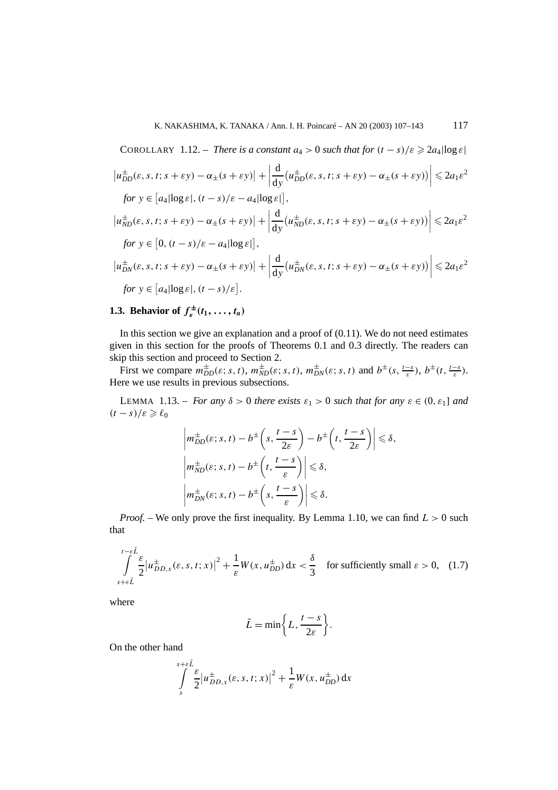COROLLARY 1.12. – There is a constant 
$$
a_4 > 0
$$
 such that for  $(t - s)/\varepsilon \ge 2a_4 |\log \varepsilon|$   
\n
$$
\left| u_{DD}^{\pm}(\varepsilon, s, t; s + \varepsilon y) - \alpha_{\pm}(s + \varepsilon y) \right| + \left| \frac{d}{dy} (u_{DD}^{\pm}(\varepsilon, s, t; s + \varepsilon y) - \alpha_{\pm}(s + \varepsilon y)) \right| \le 2a_1\varepsilon^2
$$
\nfor  $y \in [a_4 |\log \varepsilon|, (t - s)/\varepsilon - a_4 |\log \varepsilon|]$ ,  
\n
$$
\left| u_{ND}^{\pm}(\varepsilon, s, t; s + \varepsilon y) - \alpha_{\pm}(s + \varepsilon y) \right| + \left| \frac{d}{dy} (u_{ND}^{\pm}(\varepsilon, s, t; s + \varepsilon y) - \alpha_{\pm}(s + \varepsilon y)) \right| \le 2a_1\varepsilon^2
$$
\nfor  $y \in [0, (t - s)/\varepsilon - a_4 |\log \varepsilon|]$ ,  
\n
$$
\left| u_{DN}^{\pm}(\varepsilon, s, t; s + \varepsilon y) - \alpha_{\pm}(s + \varepsilon y) \right| + \left| \frac{d}{dy} (u_{DN}^{\pm}(\varepsilon, s, t; s + \varepsilon y) - \alpha_{\pm}(s + \varepsilon y)) \right| \le 2a_1\varepsilon^2
$$
\nfor  $y \in [a_4 |\log \varepsilon|, (t - s)/\varepsilon]$ .

## **1.3. Behavior of**  $f_{\varepsilon}^{\pm}(t_1,\ldots,t_n)$

In this section we give an explanation and a proof of  $(0.11)$ . We do not need estimates given in this section for the proofs of Theorems 0.1 and 0.3 directly. The readers can skip this section and proceed to Section 2.

First we compare  $m_{DD}^{\pm}(\varepsilon; s, t)$ ,  $m_{ND}^{\pm}(\varepsilon; s, t)$ ,  $m_{DN}^{\pm}(\varepsilon; s, t)$  and  $b^{\pm}(s, \frac{t-s}{\varepsilon})$ ,  $b^{\pm}(t, \frac{t-s}{\varepsilon})$ . Here we use results in previous subsections.

LEMMA 1.13. – *For any*  $\delta > 0$  *there exists*  $\varepsilon_1 > 0$  *such that for any*  $\varepsilon \in (0, \varepsilon_1]$  *and*  $(t-s)/\varepsilon \geqslant \ell_0$ 

$$
\left| m_{DD}^{\pm}(\varepsilon; s, t) - b^{\pm} \left( s, \frac{t - s}{2\varepsilon} \right) - b^{\pm} \left( t, \frac{t - s}{2\varepsilon} \right) \right| \leq \delta,
$$
  

$$
\left| m_{ND}^{\pm}(\varepsilon; s, t) - b^{\pm} \left( t, \frac{t - s}{\varepsilon} \right) \right| \leq \delta,
$$
  

$$
\left| m_{DN}^{\pm}(\varepsilon; s, t) - b^{\pm} \left( s, \frac{t - s}{\varepsilon} \right) \right| \leq \delta.
$$

*Proof. –* We only prove the first inequality. By Lemma 1.10, we can find *L >* 0 such that

$$
\int_{s+\epsilon\tilde{L}}^{t-\epsilon\tilde{L}} \frac{\varepsilon}{2} |u_{DD,x}^{\pm}(\varepsilon, s, t; x)|^{2} + \frac{1}{\varepsilon} W(x, u_{DD}^{\pm}) dx < \frac{\delta}{3} \quad \text{for sufficiently small } \varepsilon > 0, \quad (1.7)
$$

where

$$
\tilde{L} = \min\bigg\{L, \frac{t-s}{2\varepsilon}\bigg\}.
$$

On the other hand

$$
\int_{s}^{s+\varepsilon\tilde{L}} \frac{\varepsilon}{2} \left| u_{DD,x}^{\pm}(\varepsilon, s, t; x) \right|^{2} + \frac{1}{\varepsilon} W(x, u_{DD}^{\pm}) dx
$$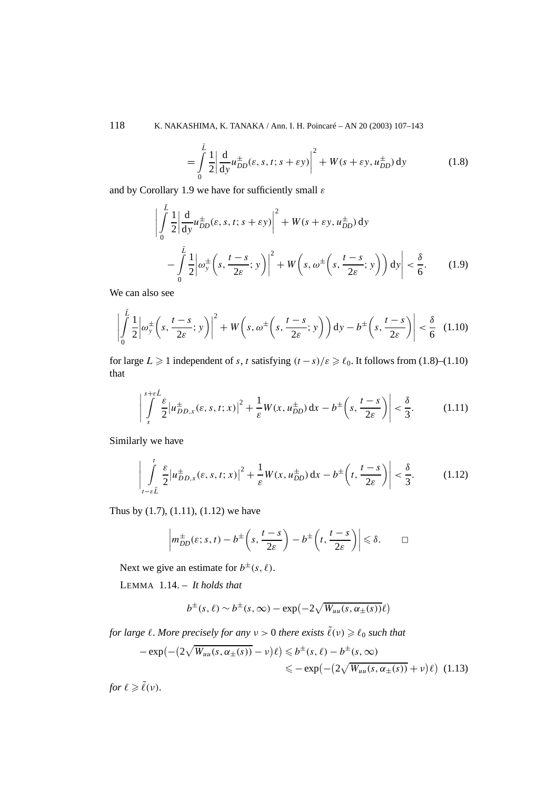118 K. NAKASHIMA, K. TANAKA / Ann. I. H. Poincaré – AN 20 (2003) 107–143

$$
= \int_{0}^{\tilde{L}} \frac{1}{2} \left| \frac{d}{dy} u_{DD}^{\pm}(\varepsilon, s, t; s + \varepsilon y) \right|^{2} + W(s + \varepsilon y, u_{DD}^{\pm}) dy \tag{1.8}
$$

and by Corollary 1.9 we have for sufficiently small *ε*

$$
\left| \int_{0}^{\tilde{L}} \frac{1}{2} \left| \frac{d}{dy} u_{DD}^{\pm}(\varepsilon, s, t; s + \varepsilon y) \right|^{2} + W(s + \varepsilon y, u_{DD}^{\pm}) dy - \int_{0}^{\tilde{L}} \frac{1}{2} \left| \omega_{y}^{\pm} \left( s, \frac{t - s}{2\varepsilon}; y \right) \right|^{2} + W \left( s, \omega^{\pm} \left( s, \frac{t - s}{2\varepsilon}; y \right) \right) dy \right| < \frac{\delta}{6}.
$$
 (1.9)

We can also see

$$
\left| \int_{0}^{\tilde{L}} \frac{1}{2} \left| \omega_{y}^{\pm} \left( s, \frac{t-s}{2\varepsilon}; y \right) \right|^{2} + W \left( s, \omega^{\pm} \left( s, \frac{t-s}{2\varepsilon}; y \right) \right) dy - b^{\pm} \left( s, \frac{t-s}{2\varepsilon} \right) \right| < \frac{\delta}{6} \quad (1.10)
$$

for large  $L \ge 1$  independent of *s*, *t* satisfying  $(t - s)/\varepsilon \ge \ell_0$ . It follows from (1.8)–(1.10) that

$$
\left| \int_{s}^{s+\varepsilon} \frac{\varepsilon}{2} |u_{DD,x}^{\pm}(\varepsilon, s, t; x)|^{2} + \frac{1}{\varepsilon} W(x, u_{DD}^{\pm}) dx - b^{\pm} \left( s, \frac{t-s}{2\varepsilon} \right) \right| < \frac{\delta}{3}.
$$
 (1.11)

Similarly we have

$$
\left| \int_{t-\epsilon \tilde{L}}^{t} \frac{\varepsilon}{2} \left| u_{DD,x}^{\pm}(\varepsilon, s, t; x) \right|^2 + \frac{1}{\varepsilon} W(x, u_{DD}^{\pm}) dx - b^{\pm} \left( t, \frac{t-s}{2\varepsilon} \right) \right| < \frac{\delta}{3}.
$$
 (1.12)

Thus by (1.7), (1.11), (1.12) we have

$$
\left| m_{DD}^{\pm}(\varepsilon;s,t) - b^{\pm} \left( s, \frac{t-s}{2\varepsilon} \right) - b^{\pm} \left( t, \frac{t-s}{2\varepsilon} \right) \right| \leq \delta. \qquad \Box
$$

Next we give an estimate for  $b^{\pm}(s, \ell)$ .

LEMMA 1.14. – *It holds that*

$$
b^{\pm}(s,\ell) \sim b^{\pm}(s,\infty) - \exp(-2\sqrt{W_{uu}(s,\alpha_{\pm}(s))}\ell)
$$

*for large*  $\ell$ *. More precisely for any*  $\nu > 0$  *there exists*  $\tilde{\ell}(\nu) \geqslant \ell_0$  *such that* 

$$
-\exp(-(2\sqrt{W_{uu}(s,\alpha_{\pm}(s))}-\nu)\ell) \leq b^{\pm}(s,\ell) - b^{\pm}(s,\infty)
$$
  

$$
\leq -\exp(-(2\sqrt{W_{uu}(s,\alpha_{\pm}(s))}+\nu)\ell) \quad (1.13)
$$

*for*  $\ell \geqslant \tilde{\ell}(\nu)$ *.*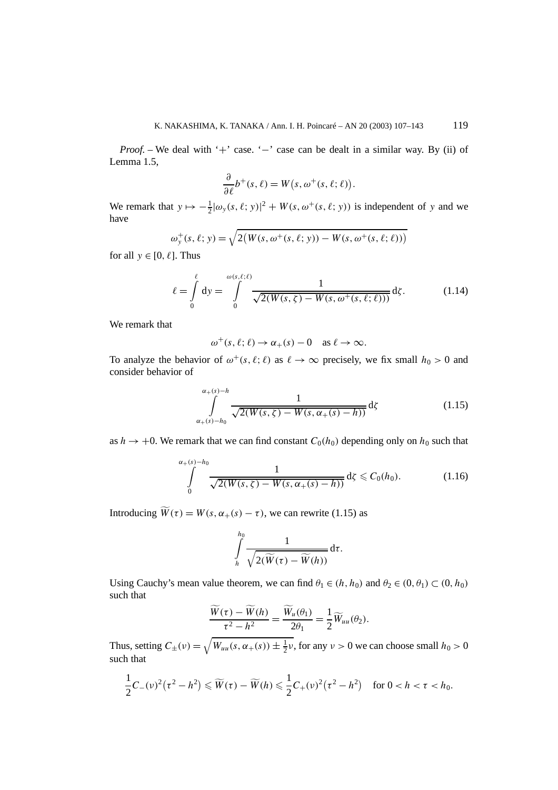*Proof.* – We deal with '+' case. '–' case can be dealt in a similar way. By (ii) of Lemma 1.5,

$$
\frac{\partial}{\partial \ell}b^+(s,\ell) = W(s,\omega^+(s,\ell;\ell)).
$$

We remark that  $y \mapsto -\frac{1}{2} |\omega_y(s, \ell; y)|^2 + W(s, \omega^+(s, \ell; y))$  is independent of *y* and we have

$$
\omega_{y}^{+}(s,\ell; y) = \sqrt{2(W(s,\omega^{+}(s,\ell; y)) - W(s,\omega^{+}(s,\ell;\ell)))}
$$

for all  $y \in [0, \ell]$ . Thus

$$
\ell = \int_{0}^{\ell} dy = \int_{0}^{\omega(s,\ell;\ell)} \frac{1}{\sqrt{2(W(s,\zeta) - W(s,\omega^+(s,\ell;\ell)))}} d\zeta.
$$
 (1.14)

We remark that

$$
\omega^+(s,\ell;\ell) \to \alpha_+(s) - 0 \quad \text{as } \ell \to \infty.
$$

To analyze the behavior of  $\omega^+(s, \ell; \ell)$  as  $\ell \to \infty$  precisely, we fix small  $h_0 > 0$  and consider behavior of

$$
\int_{\alpha_{+}(s)-h_{0}}^{\alpha_{+}(s)-h} \frac{1}{\sqrt{2(W(s,\zeta)-W(s,\alpha_{+}(s)-h))}} d\zeta
$$
\n(1.15)

as  $h \to +0$ . We remark that we can find constant  $C_0(h_0)$  depending only on  $h_0$  such that

$$
\int_{0}^{\alpha_{+}(s)-h_{0}} \frac{1}{\sqrt{2(W(s,\zeta)-W(s,\alpha_{+}(s)-h))}} d\zeta \leqslant C_{0}(h_{0}).
$$
\n(1.16)

Introducing  $\widetilde{W}(\tau) = W(s, \alpha_+(s) - \tau)$ , we can rewrite (1.15) as

$$
\int\limits_{h}^{h_0}\frac{1}{\sqrt{2(\widetilde{W}(\tau)-\widetilde{W}(h))}}\,\mathrm{d}\tau.
$$

Using Cauchy's mean value theorem, we can find  $\theta_1 \in (h, h_0)$  and  $\theta_2 \in (0, \theta_1) \subset (0, h_0)$ such that

$$
\frac{\widetilde{W}(\tau) - \widetilde{W}(h)}{\tau^2 - h^2} = \frac{\widetilde{W}_u(\theta_1)}{2\theta_1} = \frac{1}{2}\widetilde{W}_{uu}(\theta_2).
$$

Thus, setting  $C_{\pm}(\nu) = \sqrt{W_{uu}(s, \alpha_{+}(s)) \pm \frac{1}{2}\nu}$ , for any  $\nu > 0$  we can choose small  $h_0 > 0$ such that

$$
\frac{1}{2}C_{-}(\nu)^{2}(\tau^{2}-h^{2}) \leq \widetilde{W}(\tau)-\widetilde{W}(h) \leq \frac{1}{2}C_{+}(\nu)^{2}(\tau^{2}-h^{2}) \quad \text{for } 0 < h < \tau < h_{0}.
$$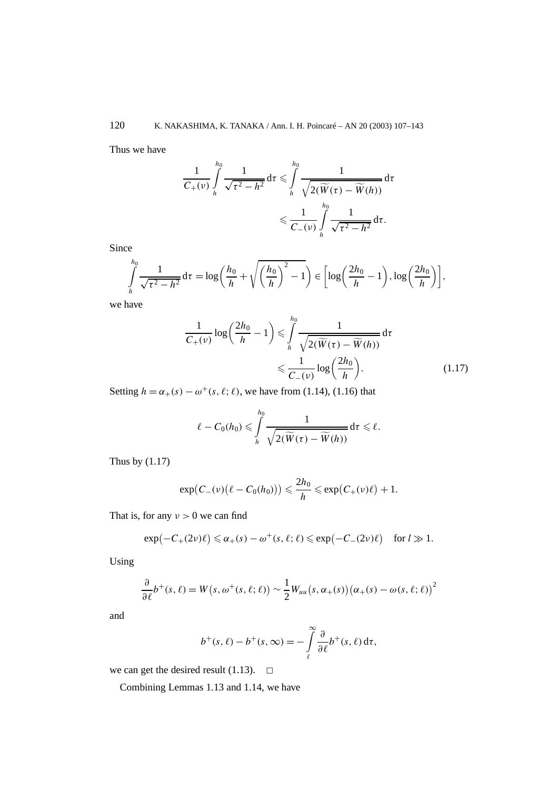Thus we have

$$
\frac{1}{C_{+}(\nu)}\int_{h}^{h_0}\frac{1}{\sqrt{\tau^2-h^2}}\,d\tau\leqslant\int_{h}^{h_0}\frac{1}{\sqrt{2(\widetilde{W}(\tau)-\widetilde{W}(h))}}\,d\tau
$$

$$
\leqslant\frac{1}{C_{-}(\nu)}\int_{h}^{h_0}\frac{1}{\sqrt{\tau^2-h^2}}\,d\tau.
$$

Since

$$
\int_{h}^{h_0} \frac{1}{\sqrt{\tau^2 - h^2}} d\tau = \log\left(\frac{h_0}{h} + \sqrt{\left(\frac{h_0}{h}\right)^2 - 1}\right) \in \left[\log\left(\frac{2h_0}{h} - 1\right), \log\left(\frac{2h_0}{h}\right)\right],
$$

we have

$$
\frac{1}{C_{+}(\nu)}\log\left(\frac{2h_{0}}{h}-1\right) \leqslant \int_{h}^{h_{0}} \frac{1}{\sqrt{2(\widetilde{W}(\tau)-\widetilde{W}(h))}}d\tau
$$

$$
\leqslant \frac{1}{C_{-}(\nu)}\log\left(\frac{2h_{0}}{h}\right).
$$
(1.17)

Setting  $h = \alpha_+(s) - \omega^+(s, \ell; \ell)$ , we have from (1.14), (1.16) that

$$
\ell - C_0(h_0) \leqslant \int\limits_{h}^{h_0} \frac{1}{\sqrt{2(\widetilde{W}(\tau) - \widetilde{W}(h))}} d\tau \leqslant \ell.
$$

Thus by (1.17)

$$
\exp(C_{-}(\nu)(\ell-C_{0}(h_{0}))) \leqslant \frac{2h_{0}}{h} \leqslant \exp(C_{+}(\nu)\ell)+1.
$$

That is, for any  $v > 0$  we can find

$$
\exp(-C_+(2\nu)\ell) \leq \alpha_+(s) - \omega^+(s,\ell;\ell) \leq \exp(-C_-(2\nu)\ell) \quad \text{for } l \gg 1.
$$

Using

$$
\frac{\partial}{\partial \ell}b^+(s,\ell) = W(s,\omega^+(s,\ell;\ell)) \sim \frac{1}{2}W_{uu}(s,\alpha_+(s))(\alpha_+(s)-\omega(s,\ell;\ell))^2
$$

and

$$
b^+(s,\ell) - b^+(s,\infty) = -\int_{\ell}^{\infty} \frac{\partial}{\partial \ell} b^+(s,\ell) \, \mathrm{d}\tau,
$$

we can get the desired result (1.13).  $\Box$ 

Combining Lemmas 1.13 and 1.14, we have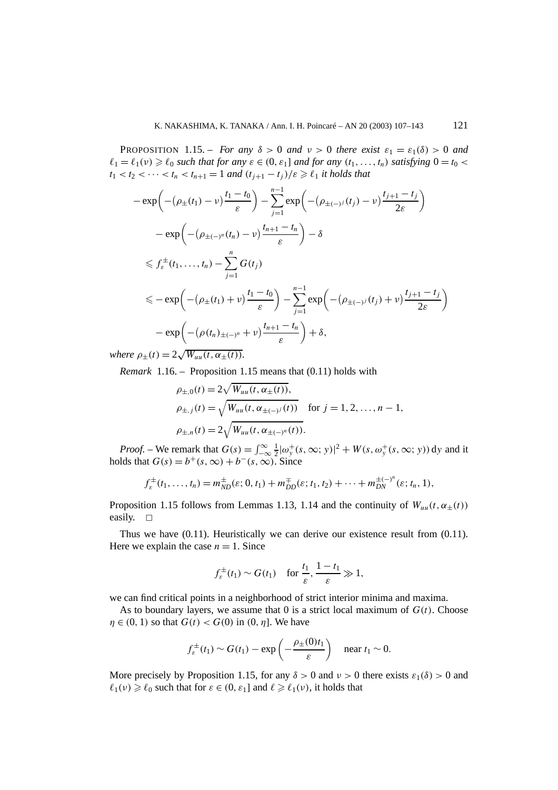**PROPOSITION** 1.15. – *For any*  $\delta > 0$  *and*  $\nu > 0$  *there exist*  $\varepsilon_1 = \varepsilon_1(\delta) > 0$  *and*  $\ell_1 = \ell_1(\nu) \geq \ell_0$  *such that for any*  $\varepsilon \in (0, \varepsilon_1]$  *and for any*  $(t_1, \ldots, t_n)$  *satisfying*  $0 = t_0 <$  $t_1 < t_2 < \cdots < t_n < t_{n+1} = 1$  *and*  $(t_{j+1} - t_j)/\varepsilon \geq \ell_1$  *it holds that* 

$$
-\exp\left(-(\rho_{\pm}(t_1) - \nu)\frac{t_1 - t_0}{\varepsilon}\right) - \sum_{j=1}^{n-1} \exp\left(-(\rho_{\pm(-j)}(t_j) - \nu)\frac{t_{j+1} - t_j}{2\varepsilon}\right)
$$
  

$$
-\exp\left(-(\rho_{\pm(-j^n)}(t_n) - \nu)\frac{t_{n+1} - t_n}{\varepsilon}\right) - \delta
$$
  

$$
\leq f_{\varepsilon}^{\pm}(t_1, ..., t_n) - \sum_{j=1}^n G(t_j)
$$
  

$$
\leq -\exp\left(-(\rho_{\pm}(t_1) + \nu)\frac{t_1 - t_0}{\varepsilon}\right) - \sum_{j=1}^{n-1} \exp\left(-(\rho_{\pm(-j)}(t_j) + \nu)\frac{t_{j+1} - t_j}{2\varepsilon}\right)
$$
  

$$
-\exp\left(-(\rho(t_n)_{\pm(-j^n)} + \nu)\frac{t_{n+1} - t_n}{\varepsilon}\right) + \delta,
$$

*where*  $\rho_{\pm}(t) = 2\sqrt{W_{uu}(t,\alpha_{\pm}(t))}$ *.* 

*Remark* 1.16. – Proposition 1.15 means that (0.11) holds with

$$
\rho_{\pm,0}(t) = 2\sqrt{W_{uu}(t, \alpha_{\pm}(t))},
$$
  
\n
$$
\rho_{\pm,j}(t) = \sqrt{W_{uu}(t, \alpha_{\pm(-j)}(t))} \quad \text{for } j = 1, 2, ..., n-1,
$$
  
\n
$$
\rho_{\pm,n}(t) = 2\sqrt{W_{uu}(t, \alpha_{\pm(-j^n)}(t))}.
$$

*Proof.* – We remark that  $G(s) = \int_{-\infty}^{\infty} \frac{1}{2} |\omega_y^+(s, \infty; y)|^2 + W(s, \omega_y^+(s, \infty; y)) dy$  and it holds that  $G(s) = b^+(s, \infty) + b^-(s, \infty)$ . Since

$$
f_{\varepsilon}^{\pm}(t_1,\ldots,t_n)=m_{ND}^{\pm}(\varepsilon;0,t_1)+m_{DD}^{\mp}(\varepsilon;t_1,t_2)+\cdots+m_{DN}^{\pm(-)^n}(\varepsilon;t_n,1),
$$

Proposition 1.15 follows from Lemmas 1.13, 1.14 and the continuity of  $W_{uu}(t, \alpha_{\pm}(t))$ easily.  $\square$ 

Thus we have (0.11). Heuristically we can derive our existence result from (0.11). Here we explain the case  $n = 1$ . Since

$$
f_{\varepsilon}^{\pm}(t_1) \sim G(t_1) \quad \text{for } \frac{t_1}{\varepsilon}, \frac{1-t_1}{\varepsilon} \gg 1,
$$

we can find critical points in a neighborhood of strict interior minima and maxima.

As to boundary layers, we assume that 0 is a strict local maximum of  $G(t)$ . Choose *n*  $\in$  (0, 1) so that *G*(*t*) < *G*(0) in (0, *n*]. We have

$$
f_{\varepsilon}^{\pm}(t_1) \sim G(t_1) - \exp\left(-\frac{\rho_{\pm}(0)t_1}{\varepsilon}\right)
$$
 near  $t_1 \sim 0$ .

More precisely by Proposition 1.15, for any  $\delta > 0$  and  $\nu > 0$  there exists  $\varepsilon_1(\delta) > 0$  and  $\ell_1(\nu) \geq \ell_0$  such that for  $\varepsilon \in (0, \varepsilon_1]$  and  $\ell \geq \ell_1(\nu)$ , it holds that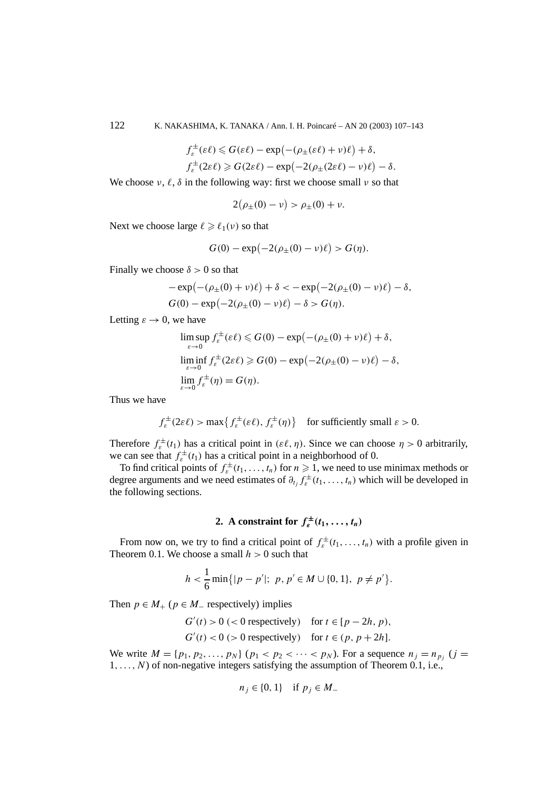$$
f_{\varepsilon}^{\pm}(\varepsilon \ell) \leq G(\varepsilon \ell) - \exp(-(\rho_{\pm}(\varepsilon \ell) + \nu)\ell) + \delta,
$$
  

$$
f_{\varepsilon}^{\pm}(2\varepsilon \ell) \geq G(2\varepsilon \ell) - \exp(-2(\rho_{\pm}(2\varepsilon \ell) - \nu)\ell) - \delta.
$$

We choose  $\nu$ ,  $\ell$ ,  $\delta$  in the following way: first we choose small  $\nu$  so that

$$
2(\rho_{\pm}(0)-\nu) > \rho_{\pm}(0)+\nu.
$$

Next we choose large  $\ell \geq \ell_1(\nu)$  so that

$$
G(0) - \exp(-2(\rho_{\pm}(0) - \nu)\ell) > G(\eta).
$$

Finally we choose  $\delta > 0$  so that

$$
-\exp(-( \rho_{\pm}(0) + \nu)\ell) + \delta < -\exp(-2(\rho_{\pm}(0) - \nu)\ell) - \delta,
$$
  
\n
$$
G(0) - \exp(-2(\rho_{\pm}(0) - \nu)\ell) - \delta > G(\eta).
$$

Letting  $\varepsilon \to 0$ , we have

$$
\limsup_{\varepsilon \to 0} f_{\varepsilon}^{\pm}(\varepsilon \ell) \leq G(0) - \exp(-(\rho_{\pm}(0) + \nu)\ell) + \delta,
$$
  
\n
$$
\liminf_{\varepsilon \to 0} f_{\varepsilon}^{\pm}(2\varepsilon \ell) \geq G(0) - \exp(-2(\rho_{\pm}(0) - \nu)\ell) - \delta,
$$
  
\n
$$
\lim_{\varepsilon \to 0} f_{\varepsilon}^{\pm}(\eta) = G(\eta).
$$

Thus we have

$$
f_{\varepsilon}^{\pm}(2\varepsilon \ell) > \max \{ f_{\varepsilon}^{\pm}(\varepsilon \ell), f_{\varepsilon}^{\pm}(\eta) \} \quad \text{for sufficiently small } \varepsilon > 0.
$$

Therefore  $f_{\varepsilon}^{\pm}(t_1)$  has a critical point in  $(\varepsilon \ell, \eta)$ . Since we can choose  $\eta > 0$  arbitrarily, we can see that  $f_{\varepsilon}^{\pm}(t_1)$  has a critical point in a neighborhood of 0.

To find critical points of  $f_{\varepsilon}^{\pm}(t_1,\ldots,t_n)$  for  $n \geq 1$ , we need to use minimax methods or degree arguments and we need estimates of  $\partial_{t_j} f_{\varepsilon}^{\pm}(t_1,\ldots,t_n)$  which will be developed in the following sections.

## **2.** A constraint for  $f_{\epsilon}^{\pm}(t_1, \ldots, t_n)$

From now on, we try to find a critical point of  $f_{\varepsilon}^{\pm}(t_1,\ldots,t_n)$  with a profile given in Theorem 0.1. We choose a small *h >* 0 such that

$$
h < \frac{1}{6} \min\{|p - p'|; p, p' \in M \cup \{0, 1\}, p \neq p'\}.
$$

Then  $p \in M_+$  ( $p \in M_-$  respectively) implies

 $G'(t) > 0$  (< 0 respectively) for  $t \in [p - 2h, p)$ ,  $G'(t) < 0$  (> 0 respectively) for  $t \in (p, p + 2h]$ .

We write  $M = \{p_1, p_2, ..., p_N\}$  ( $p_1 < p_2 < ... < p_N$ ). For a sequence  $n_j = n_{p_j}$  ( $j =$  $1, \ldots, N$ ) of non-negative integers satisfying the assumption of Theorem 0.1, i.e.,

$$
n_j \in \{0, 1\} \quad \text{if } p_j \in M_-
$$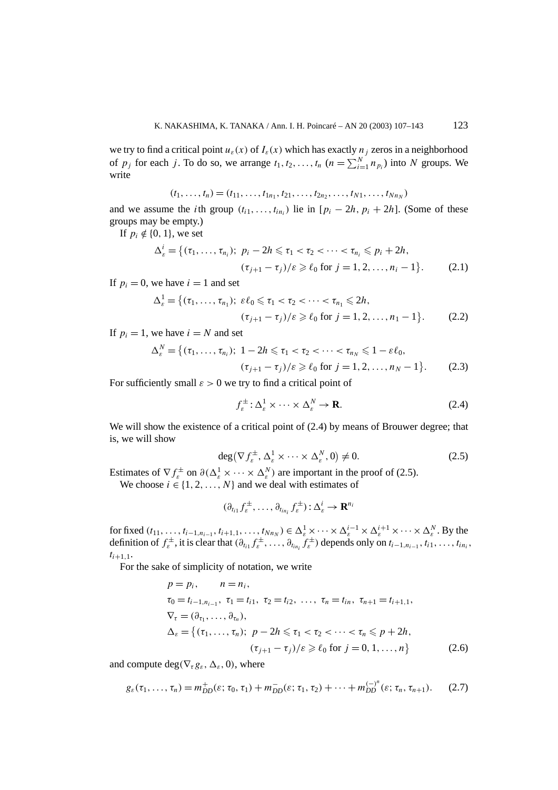we try to find a critical point  $u_{\varepsilon}(x)$  of  $I_{\varepsilon}(x)$  which has exactly  $n_j$  zeros in a neighborhood of  $p_j$  for each *j*. To do so, we arrange  $t_1, t_2, \ldots, t_n$   $(n = \sum_{i=1}^{N} n_{p_i})$  into *N* groups. We write

$$
(t_1, \ldots, t_n) = (t_{11}, \ldots, t_{1n_1}, t_{21}, \ldots, t_{2n_2}, \ldots, t_{N1}, \ldots, t_{Nn_N})
$$

and we assume the *i*th group  $(t_{i1},...,t_{in})$  lie in  $[p_i - 2h, p_i + 2h]$ . (Some of these groups may be empty.)

If  $p_i \notin \{0, 1\}$ , we set

$$
\Delta_{\varepsilon}^{i} = \{ (\tau_{1}, \ldots, \tau_{n_{i}}); \ p_{i} - 2h \leq \tau_{1} < \tau_{2} < \cdots < \tau_{n_{i}} \leq p_{i} + 2h, \\
 (\tau_{j+1} - \tau_{j})/\varepsilon \geq \ell_{0} \text{ for } j = 1, 2, \ldots, n_{i} - 1 \}.
$$
\n(2.1)

If  $p_i = 0$ , we have  $i = 1$  and set

$$
\Delta_{\varepsilon}^{1} = \{ (\tau_{1}, \ldots, \tau_{n_{1}}); \ \varepsilon \ell_{0} \leq \tau_{1} < \tau_{2} < \cdots < \tau_{n_{1}} \leq 2h, \\ (\tau_{j+1} - \tau_{j})/\varepsilon \geq \ell_{0} \text{ for } j = 1, 2, \ldots, n_{1} - 1 \}. \tag{2.2}
$$

If  $p_i = 1$ , we have  $i = N$  and set

$$
\Delta_{\varepsilon}^{N} = \{ (\tau_{1}, \ldots, \tau_{n_{i}}); \ 1 - 2h \leq \tau_{1} < \tau_{2} < \cdots < \tau_{n_{N}} \leq 1 - \varepsilon \ell_{0}, \\
 (\tau_{j+1} - \tau_{j}) / \varepsilon \geq \ell_{0} \text{ for } j = 1, 2, \ldots, n_{N} - 1 \}.
$$
\n(2.3)

For sufficiently small  $\varepsilon > 0$  we try to find a critical point of

$$
f_{\varepsilon}^{\pm} : \Delta_{\varepsilon}^1 \times \dots \times \Delta_{\varepsilon}^N \to \mathbf{R}.
$$
 (2.4)

We will show the existence of a critical point of  $(2.4)$  by means of Brouwer degree; that is, we will show

$$
\deg\left(\nabla f_{\varepsilon}^{\pm},\Delta_{\varepsilon}^{1}\times\cdots\times\Delta_{\varepsilon}^{N},0\right)\neq0.\tag{2.5}
$$

Estimates of  $\nabla f_{\varepsilon}^{\pm}$  on  $\partial(\Delta_{\varepsilon}^1 \times \cdots \times \Delta_{\varepsilon}^N)$  are important in the proof of (2.5).

We choose  $i \in \{1, 2, ..., N\}$  and we deal with estimates of

$$
(\partial_{t_{i1}}f^{\pm}_{\varepsilon},\ldots,\partial_{t_{in_i}}f^{\pm}_{\varepsilon}) : \Delta_{\varepsilon}^{i} \to \mathbf{R}^{n_i}
$$

for fixed  $(t_{11},...,t_{i-1,n_{i-1}},t_{i+1,1},...,t_{Nn_N}) \in \Delta_{\varepsilon}^1 \times \cdots \times \Delta_{\varepsilon}^{i-1} \times \Delta_{\varepsilon}^{i+1} \times \cdots \times \Delta_{\varepsilon}^N$ . By the definition of  $f_{\varepsilon}^{\pm}$ , it is clear that  $(\partial_{t_{i1}} f_{\varepsilon}^{\pm}, \ldots, \partial_{t_{in_i}} f_{\varepsilon}^{\pm})$  depends only on  $t_{i-1,n_{i-1}}, t_{i1}, \ldots, t_{in_i}$ ,  $t_{i+1,1}$ .

For the sake of simplicity of notation, we write

$$
p = p_i, \t n = n_i,
$$
  
\n
$$
\tau_0 = t_{i-1, n_{i-1}}, \tau_1 = t_{i1}, \tau_2 = t_{i2}, \dots, \tau_n = t_{in}, \tau_{n+1} = t_{i+1, 1},
$$
  
\n
$$
\nabla_{\tau} = (\partial_{\tau_1}, \dots, \partial_{\tau_n}),
$$
  
\n
$$
\Delta_{\varepsilon} = \{ (\tau_1, \dots, \tau_n); \ p - 2h \leq \tau_1 < \tau_2 < \dots < \tau_n \leq p + 2h,
$$
  
\n
$$
(\tau_{j+1} - \tau_j)/\varepsilon \geq \ell_0 \text{ for } j = 0, 1, \dots, n \}
$$
\n(2.6)

and compute deg( $\nabla_{\tau}g_{\varepsilon}, \Delta_{\varepsilon}$ , 0), where

$$
g_{\varepsilon}(\tau_1,\ldots,\tau_n)=m_{DD}^+(\varepsilon;\tau_0,\tau_1)+m_{DD}^-(\varepsilon;\tau_1,\tau_2)+\cdots+m_{DD}^{(-)^n}(\varepsilon;\tau_n,\tau_{n+1}).
$$
 (2.7)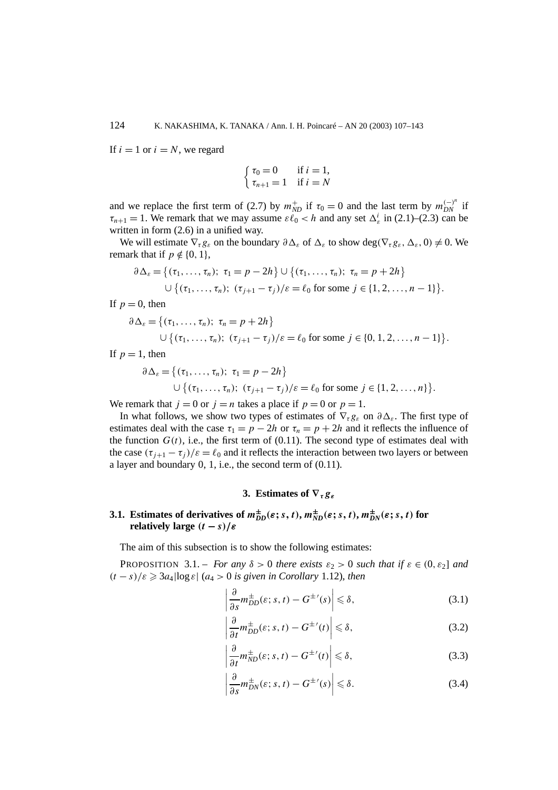If  $i = 1$  or  $i = N$ , we regard

$$
\begin{cases} \tau_0 = 0 & \text{if } i = 1, \\ \tau_{n+1} = 1 & \text{if } i = N \end{cases}
$$

and we replace the first term of (2.7) by  $m_{ND}^+$  if  $\tau_0 = 0$  and the last term by  $m_{DN}^{(-)^n}$  if  $\tau_{n+1} = 1$ . We remark that we may assume  $\varepsilon \ell_0 < h$  and any set  $\Delta_{\varepsilon}^i$  in (2.1)–(2.3) can be written in form  $(2.6)$  in a unified way.

We will estimate  $\nabla_{\tau} g_{\varepsilon}$  on the boundary  $\partial \Delta_{\varepsilon}$  of  $\Delta_{\varepsilon}$  to show deg( $\nabla_{\tau} g_{\varepsilon}, \Delta_{\varepsilon}$ , 0)  $\neq 0$ . We remark that if  $p \notin \{0, 1\}$ ,

$$
\partial \Delta_{\varepsilon} = \{ (\tau_1, ..., \tau_n); \ \tau_1 = p - 2h \} \cup \{ (\tau_1, ..., \tau_n); \ \tau_n = p + 2h \}
$$
  
 
$$
\cup \{ (\tau_1, ..., \tau_n); \ (\tau_{j+1} - \tau_j) / \varepsilon = \ell_0 \text{ for some } j \in \{1, 2, ..., n-1\} \}.
$$

If  $p = 0$ , then

$$
\partial \Delta_{\varepsilon} = \{ (\tau_1, ..., \tau_n); \ \tau_n = p + 2h \}
$$
  
 
$$
\cup \{ (\tau_1, ..., \tau_n); \ (\tau_{j+1} - \tau_j) / \varepsilon = \ell_0 \text{ for some } j \in \{0, 1, 2, ..., n-1\} \}.
$$

If  $p = 1$ , then

$$
\partial \Delta_{\varepsilon} = \{ (\tau_1, \ldots, \tau_n); \ \tau_1 = p - 2h \}
$$
  

$$
\cup \{ (\tau_1, \ldots, \tau_n); \ (\tau_{j+1} - \tau_j) / \varepsilon = \ell_0 \text{ for some } j \in \{1, 2, \ldots, n\} \}.
$$

We remark that  $j = 0$  or  $j = n$  takes a place if  $p = 0$  or  $p = 1$ .

In what follows, we show two types of estimates of  $\nabla_{\tau} g_{\varepsilon}$  on  $\partial \Delta_{\varepsilon}$ . The first type of estimates deal with the case  $\tau_1 = p - 2h$  or  $\tau_n = p + 2h$  and it reflects the influence of the function  $G(t)$ , i.e., the first term of (0.11). The second type of estimates deal with the case  $(\tau_{i+1} - \tau_i)/\varepsilon = \ell_0$  and it reflects the interaction between two layers or between a layer and boundary 0, 1, i.e., the second term of (0.11).

#### **3. Estimates of ∇***τgε*

## 3.1. Estimates of derivatives of  $m_{DD}^{\pm}(\varepsilon; s, t), m_{ND}^{\pm}(\varepsilon; s, t), m_{DN}^{\pm}(\varepsilon; s, t)$  for *relatively large*  $(t - s)/\varepsilon$

The aim of this subsection is to show the following estimates:

**PROPOSITION** 3.1. – *For any*  $\delta > 0$  *there exists*  $\varepsilon_2 > 0$  *such that if*  $\varepsilon \in (0, \varepsilon_2]$  *and*  $(t - s)/\varepsilon \geqslant 3a_4 \log \varepsilon$  (*a*<sub>4</sub> > 0 *is given in Corollary* 1.12)*, then* 

$$
\left|\frac{\partial}{\partial s}m_{DD}^{\pm}(\varepsilon;s,t) - G^{\pm \prime}(s)\right| \leq \delta,\tag{3.1}
$$

$$
\left|\frac{\partial}{\partial t}m_{DD}^{\pm}(\varepsilon;s,t) - G^{\pm \prime}(t)\right| \leqslant \delta,\tag{3.2}
$$

$$
\left|\frac{\partial}{\partial t}m_{ND}^{\pm}(\varepsilon;s,t) - G^{\pm \prime}(t)\right| \leqslant \delta,\tag{3.3}
$$

$$
\left|\frac{\partial}{\partial s}m_{DN}^{\pm}(\varepsilon;s,t) - G^{\pm \prime}(s)\right| \leq \delta.
$$
 (3.4)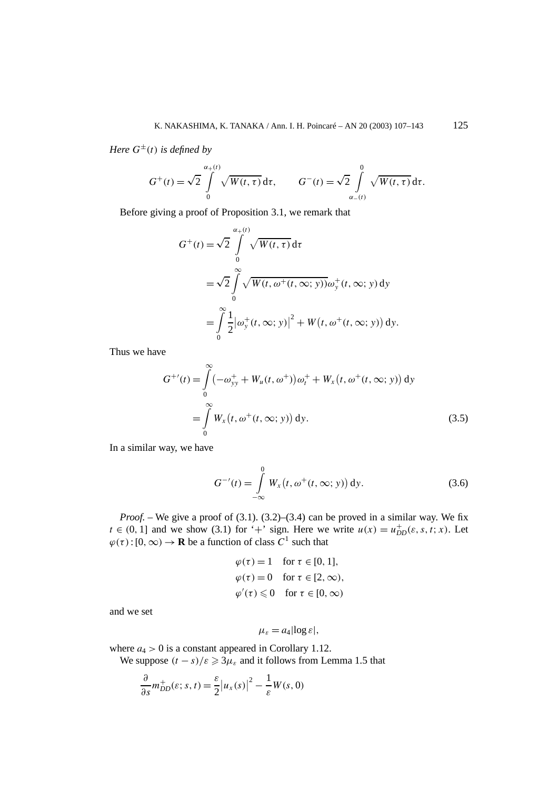*Here*  $G^{\pm}(t)$  *is defined by* 

$$
G^+(t) = \sqrt{2} \int\limits_0^{\alpha_+(t)} \sqrt{W(t,\tau)} \, \mathrm{d}\tau, \qquad G^-(t) = \sqrt{2} \int\limits_{\alpha_-(t)}^0 \sqrt{W(t,\tau)} \, \mathrm{d}\tau.
$$

Before giving a proof of Proposition 3.1, we remark that

$$
G^{+}(t) = \sqrt{2} \int_{0}^{\alpha_{+}(t)} \sqrt{W(t, \tau)} d\tau
$$
  
=  $\sqrt{2} \int_{0}^{\infty} \sqrt{W(t, \omega^{+}(t, \infty; y))} \omega_{y}^{+}(t, \infty; y) dy$   
=  $\int_{0}^{\infty} \frac{1}{2} |\omega_{y}^{+}(t, \infty; y)|^{2} + W(t, \omega^{+}(t, \infty; y)) dy.$ 

Thus we have

$$
G^{+'}(t) = \int_{0}^{\infty} (-\omega_{yy}^{+} + W_{u}(t, \omega^{+})) \omega_{t}^{+} + W_{x}(t, \omega^{+}(t, \infty; y)) dy
$$
  
= 
$$
\int_{0}^{\infty} W_{x}(t, \omega^{+}(t, \infty; y)) dy.
$$
 (3.5)

In a similar way, we have

$$
G^{-1}(t) = \int_{-\infty}^{0} W_x(t, \omega^+(t, \infty; y)) dy.
$$
 (3.6)

*Proof.* – We give a proof of (3.1). (3.2)–(3.4) can be proved in a similar way. We fix  $t \in (0, 1]$  and we show (3.1) for '+' sign. Here we write  $u(x) = u_{DD}^+(ε, s, t; x)$ . Let  $\varphi(\tau) : [0, \infty) \to \mathbf{R}$  be a function of class  $C^1$  such that

$$
\varphi(\tau) = 1 \quad \text{for } \tau \in [0, 1],
$$
  

$$
\varphi(\tau) = 0 \quad \text{for } \tau \in [2, \infty),
$$
  

$$
\varphi'(\tau) \leq 0 \quad \text{for } \tau \in [0, \infty)
$$

and we set

$$
\mu_{\varepsilon} = a_4 |\log \varepsilon|,
$$

where  $a_4 > 0$  is a constant appeared in Corollary 1.12.

We suppose  $(t - s)/\varepsilon \geqslant 3\mu_{\varepsilon}$  and it follows from Lemma 1.5 that

$$
\frac{\partial}{\partial s}m_{DD}^+(\varepsilon; s, t) = \frac{\varepsilon}{2} |u_x(s)|^2 - \frac{1}{\varepsilon} W(s, 0)
$$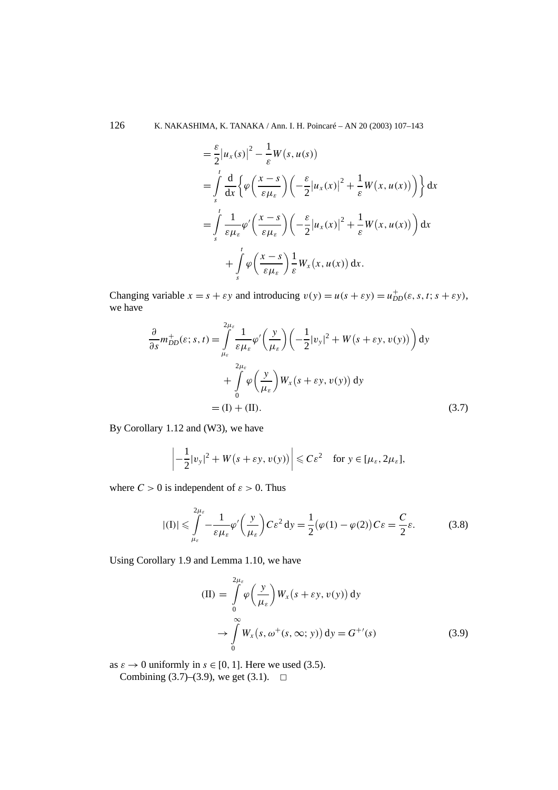126 K. NAKASHIMA, K. TANAKA / Ann. I. H. Poincaré – AN 20 (2003) 107–143

$$
\begin{split}\n&= \frac{\varepsilon}{2} |u_x(s)|^2 - \frac{1}{\varepsilon} W(s, u(s)) \\
&= \int_s^t \frac{d}{dx} \left\{ \varphi \left( \frac{x-s}{\varepsilon \mu_{\varepsilon}} \right) \left( -\frac{\varepsilon}{2} |u_x(x)|^2 + \frac{1}{\varepsilon} W(x, u(x)) \right) \right\} dx \\
&= \int_s^t \frac{1}{\varepsilon \mu_{\varepsilon}} \varphi' \left( \frac{x-s}{\varepsilon \mu_{\varepsilon}} \right) \left( -\frac{\varepsilon}{2} |u_x(x)|^2 + \frac{1}{\varepsilon} W(x, u(x)) \right) dx \\
&+ \int_s^t \varphi \left( \frac{x-s}{\varepsilon \mu_{\varepsilon}} \right) \frac{1}{\varepsilon} W_x(x, u(x)) dx.\n\end{split}
$$

Changing variable  $x = s + \varepsilon y$  and introducing  $v(y) = u(s + \varepsilon y) = u_{DD}^+(s, s, t; s + \varepsilon y)$ , we have

$$
\frac{\partial}{\partial s} m_{DD}^{+}(\varepsilon; s, t) = \int_{\mu_{\varepsilon}}^{2\mu_{\varepsilon}} \frac{1}{\varepsilon \mu_{\varepsilon}} \varphi' \left(\frac{y}{\mu_{\varepsilon}}\right) \left(-\frac{1}{2} |v_{y}|^{2} + W(s + \varepsilon y, v(y))\right) dy
$$

$$
+ \int_{0}^{2\mu_{\varepsilon}} \varphi \left(\frac{y}{\mu_{\varepsilon}}\right) W_{x}(s + \varepsilon y, v(y)) dy
$$

$$
= (I) + (II). \tag{3.7}
$$

By Corollary 1.12 and (W3), we have

$$
\left|-\frac{1}{2}|v_{y}|^{2}+W(s+\varepsilon y,v(y))\right|\leqslant C\varepsilon^{2} \quad \text{for } y\in[\mu_{\varepsilon},2\mu_{\varepsilon}],
$$

where  $C > 0$  is independent of  $\varepsilon > 0$ . Thus

$$
|(I)| \leqslant \int_{\mu_{\varepsilon}}^{2\mu_{\varepsilon}} - \frac{1}{\varepsilon \mu_{\varepsilon}} \varphi' \left(\frac{y}{\mu_{\varepsilon}}\right) C \varepsilon^2 dy = \frac{1}{2} (\varphi(1) - \varphi(2)) C \varepsilon = \frac{C}{2} \varepsilon.
$$
 (3.8)

Using Corollary 1.9 and Lemma 1.10, we have

$$
\begin{aligned} \n\text{(II)} &= \int_{0}^{2\mu_{\varepsilon}} \varphi\left(\frac{y}{\mu_{\varepsilon}}\right) W_{x}\left(s+\varepsilon y, v(y)\right) \, \mathrm{d}y \\ \n&\to \int_{0}^{\infty} W_{x}\left(s, \omega^{+}(s, \infty; y)\right) \, \mathrm{d}y = G^{+'}(s) \end{aligned} \tag{3.9}
$$

as  $\varepsilon \to 0$  uniformly in  $s \in [0, 1]$ . Here we used (3.5). Combining (3.7)–(3.9), we get (3.1).  $\Box$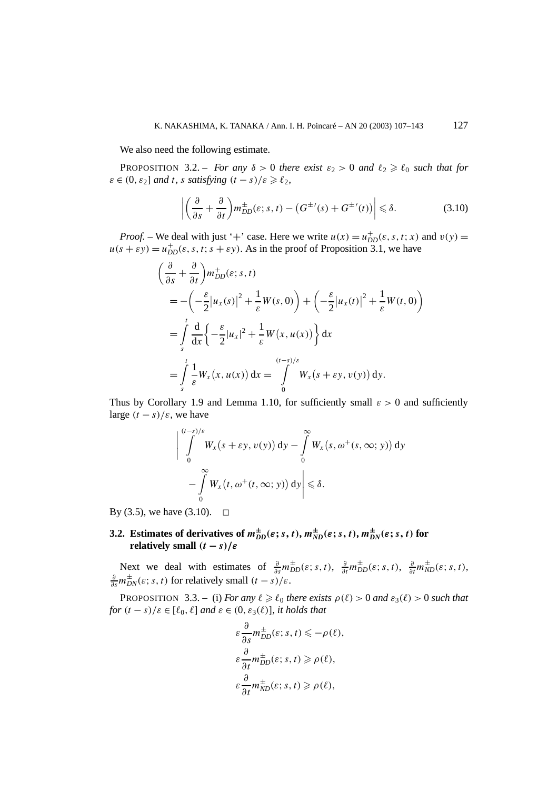We also need the following estimate.

**PROPOSITION** 3.2. – *For any*  $\delta > 0$  *there exist*  $\varepsilon_2 > 0$  *and*  $\ell_2 \ge \ell_0$  *such that for*  $\varepsilon \in (0, \varepsilon_2]$  *and t*, *s satisfying*  $(t - s)/\varepsilon \ge \ell_2$ ,

$$
\left| \left( \frac{\partial}{\partial s} + \frac{\partial}{\partial t} \right) m_{DD}^{\pm}(\varepsilon; s, t) - \left( G^{\pm \prime}(s) + G^{\pm \prime}(t) \right) \right| \leq \delta. \tag{3.10}
$$

*Proof.* – We deal with just '+' case. Here we write  $u(x) = u_{DD}^+(ε, s, t; x)$  and  $v(y) =$  $u(s + \varepsilon y) = u_{DD}^+(s, s, t; s + \varepsilon y)$ . As in the proof of Proposition 3.1, we have

$$
\begin{split}\n&\left(\frac{\partial}{\partial s} + \frac{\partial}{\partial t}\right) m_{DD}^{+}(\varepsilon; s, t) \\
&= -\left(-\frac{\varepsilon}{2} |u_{x}(s)|^{2} + \frac{1}{\varepsilon} W(s, 0)\right) + \left(-\frac{\varepsilon}{2} |u_{x}(t)|^{2} + \frac{1}{\varepsilon} W(t, 0)\right) \\
&= \int_{s}^{t} \frac{d}{dx} \left\{-\frac{\varepsilon}{2} |u_{x}|^{2} + \frac{1}{\varepsilon} W(x, u(x))\right\} dx \\
&= \int_{s}^{t} \frac{1}{\varepsilon} W_{x}(x, u(x)) dx = \int_{0}^{(t-s)/\varepsilon} W_{x}(s + \varepsilon y, v(y)) dy.\n\end{split}
$$

Thus by Corollary 1.9 and Lemma 1.10, for sufficiently small *ε >* 0 and sufficiently large  $(t - s)/\varepsilon$ , we have

$$
\left| \int_{0}^{(t-s)/\varepsilon} W_x(s + \varepsilon y, v(y)) dy - \int_{0}^{\infty} W_x(s, \omega^+(s, \infty; y)) dy \right|
$$
  
- 
$$
\int_{0}^{\infty} W_x(t, \omega^+(t, \infty; y)) dy \le \delta.
$$

By (3.5), we have (3.10).  $\Box$ 

## 3.2. Estimates of derivatives of  $m_{DD}^{\pm}(\varepsilon; s, t), m_{ND}^{\pm}(\varepsilon; s, t), m_{DN}^{\pm}(\varepsilon; s, t)$  for **relatively small**  $(t - s)/\varepsilon$

Next we deal with estimates of  $\frac{\partial}{\partial s} m_{DD}^{\pm}(\varepsilon; s, t)$ ,  $\frac{\partial}{\partial t} m_{DD}^{\pm}(\varepsilon; s, t)$ ,  $\frac{\partial}{\partial t} m_{ND}^{\pm}(\varepsilon; s, t)$ ,  $\frac{\partial}{\partial s} m_{DN}^{\pm}(\varepsilon; s, t)$  for relatively small  $(t - s)/\varepsilon$ .

**PROPOSITION** 3.3. – (i) For any  $\ell \geq \ell_0$  there exists  $\rho(\ell) > 0$  and  $\varepsilon_3(\ell) > 0$  such that *for*  $(t - s)/\varepsilon \in [\ell_0, \ell]$  *and*  $\varepsilon \in (0, \varepsilon_3(\ell))$ *, it holds that* 

$$
\varepsilon \frac{\partial}{\partial s} m_{DD}^{\pm}(\varepsilon; s, t) \leq -\rho(\ell),
$$
  
\n
$$
\varepsilon \frac{\partial}{\partial t} m_{DD}^{\pm}(\varepsilon; s, t) \geq \rho(\ell),
$$
  
\n
$$
\varepsilon \frac{\partial}{\partial t} m_{ND}^{\pm}(\varepsilon; s, t) \geq \rho(\ell),
$$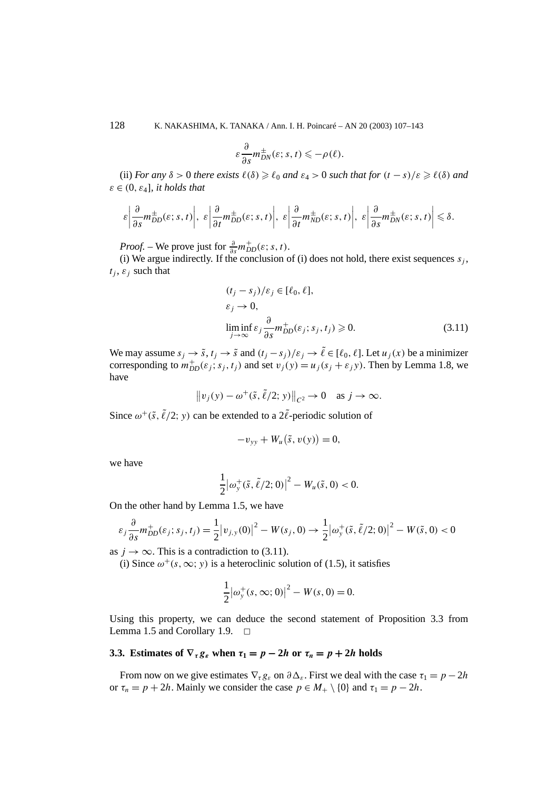128 K. NAKASHIMA, K. TANAKA / Ann. I. H. Poincaré – AN 20 (2003) 107–143

$$
\varepsilon \frac{\partial}{\partial s} m_{DN}^{\pm}(\varepsilon; s, t) \leqslant -\rho(\ell).
$$

(ii) *For any*  $\delta > 0$  *there exists*  $\ell(\delta) \geq \ell_0$  *and*  $\varepsilon_4 > 0$  *such that for*  $(t - s)/\varepsilon \geq \ell(\delta)$  *and*  $\varepsilon \in (0, \varepsilon_4]$ *, it holds that* 

$$
\varepsilon \left| \frac{\partial}{\partial s} m_{DD}^{\pm}(\varepsilon; s, t) \right|, \varepsilon \left| \frac{\partial}{\partial t} m_{DD}^{\pm}(\varepsilon; s, t) \right|, \varepsilon \left| \frac{\partial}{\partial t} m_{ND}^{\pm}(\varepsilon; s, t) \right|, \varepsilon \left| \frac{\partial}{\partial s} m_{DN}^{\pm}(\varepsilon; s, t) \right| \leq \delta.
$$

*Proof.* – We prove just for  $\frac{\partial}{\partial s} m_{DD}^{\dagger}(\varepsilon; s, t)$ .

(i) We argue indirectly. If the conclusion of (i) does not hold, there exist sequences  $s_i$ ,  $t_i$ ,  $\varepsilon_i$  such that

$$
(t_j - s_j)/\varepsilon_j \in [\ell_0, \ell],
$$
  
\n
$$
\varepsilon_j \to 0,
$$
  
\n
$$
\liminf_{j \to \infty} \varepsilon_j \frac{\partial}{\partial s} m_{DD}^+(\varepsilon_j; s_j, t_j) \ge 0.
$$
\n(3.11)

We may assume  $s_i \to \tilde{s}$ ,  $t_i \to \tilde{s}$  and  $(t_i - s_j)/\varepsilon_j \to \tilde{\ell} \in [\ell_0, \ell]$ . Let  $u_i(x)$  be a minimizer corresponding to  $m_{DD}^+(ε_j; s_j, t_j)$  and set  $v_j(y) = u_j(s_j + ε_jy)$ . Then by Lemma 1.8, we have

$$
||v_j(y) - \omega^+(\tilde{s}, \tilde{\ell}/2; y)||_{C^2} \to 0 \text{ as } j \to \infty.
$$

Since  $\omega^+(\tilde{s}, \tilde{\ell}/2; y)$  can be extended to a  $2\tilde{\ell}$ -periodic solution of

$$
-v_{yy} + W_u(\tilde{s}, v(y)) = 0,
$$

we have

$$
\frac{1}{2} |\omega_{y}^{+}(\tilde{s}, \tilde{\ell}/2; 0)|^{2} - W_{u}(\tilde{s}, 0) < 0.
$$

On the other hand by Lemma 1.5, we have

$$
\varepsilon_j \frac{\partial}{\partial s} m_{DD}^+(\varepsilon_j; s_j, t_j) = \frac{1}{2} |v_{j,y}(0)|^2 - W(s_j, 0) \to \frac{1}{2} |\omega_y^+(\tilde{s}, \tilde{\ell}/2; 0)|^2 - W(\tilde{s}, 0) < 0
$$

as  $j \rightarrow \infty$ . This is a contradiction to (3.11).

(i) Since  $\omega^+(s, \infty; y)$  is a heteroclinic solution of (1.5), it satisfies

$$
\frac{1}{2} |\omega_{y}^{+}(s, \infty; 0)|^{2} - W(s, 0) = 0.
$$

Using this property, we can deduce the second statement of Proposition 3.3 from Lemma 1.5 and Corollary 1.9.  $\Box$ 

### **3.3.** Estimates of  $\nabla_{\tau} g_{\varepsilon}$  when  $\tau_1 = p - 2h$  or  $\tau_n = p + 2h$  holds

From now on we give estimates  $\nabla_{\tau} g_{\varepsilon}$  on  $\partial \Delta_{\varepsilon}$ . First we deal with the case  $\tau_1 = p - 2h$ or  $\tau_n = p + 2h$ . Mainly we consider the case  $p \in M_+ \setminus \{0\}$  and  $\tau_1 = p - 2h$ .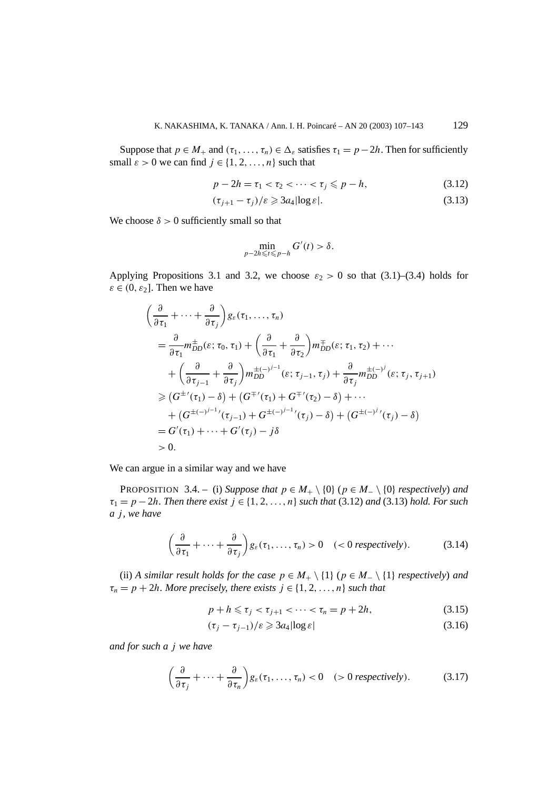Suppose that  $p \in M_+$  and  $(\tau_1, \ldots, \tau_n) \in \Delta_{\varepsilon}$  satisfies  $\tau_1 = p - 2h$ . Then for sufficiently small  $\varepsilon > 0$  we can find  $j \in \{1, 2, ..., n\}$  such that

$$
p - 2h = \tau_1 < \tau_2 < \dots < \tau_j \leqslant p - h,\tag{3.12}
$$

$$
(\tau_{j+1} - \tau_j)/\varepsilon \geqslant 3a_4 |\log \varepsilon|.
$$
\n(3.13)

We choose  $\delta > 0$  sufficiently small so that

$$
\min_{p-2h\leqslant t\leqslant p-h}G'(t)>\delta.
$$

Applying Propositions 3.1 and 3.2, we choose  $\varepsilon_2 > 0$  so that (3.1)–(3.4) holds for  $\varepsilon \in (0, \varepsilon_2]$ . Then we have

$$
\begin{split}\n&\left(\frac{\partial}{\partial \tau_{1}} + \cdots + \frac{\partial}{\partial \tau_{j}}\right) g_{\varepsilon}(\tau_{1}, \ldots, \tau_{n}) \\
&= \frac{\partial}{\partial \tau_{1}} m_{DD}^{\pm}(\varepsilon; \tau_{0}, \tau_{1}) + \left(\frac{\partial}{\partial \tau_{1}} + \frac{\partial}{\partial \tau_{2}}\right) m_{DD}^{\pm}(\varepsilon; \tau_{1}, \tau_{2}) + \cdots \\
&+ \left(\frac{\partial}{\partial \tau_{j-1}} + \frac{\partial}{\partial \tau_{j}}\right) m_{DD}^{\pm}(-j^{-1}(\varepsilon; \tau_{j-1}, \tau_{j}) + \frac{\partial}{\partial \tau_{j}} m_{DD}^{\pm}(-j^{j}(\varepsilon; \tau_{j}, \tau_{j+1}) \\
&\geq (G^{\pm \prime}(\tau_{1}) - \delta) + (G^{\mp \prime}(\tau_{1}) + G^{\mp \prime}(\tau_{2}) - \delta) + \cdots \\
&+ (G^{\pm (-j^{-1})}(\tau_{j-1}) + G^{\pm (-j^{-1})}(\tau_{j}) - \delta) + (G^{\pm (-j^{j})}(\tau_{j}) - \delta) \\
&= G'(\tau_{1}) + \cdots + G'(\tau_{j}) - j\delta \\
&> 0.\n\end{split}
$$

We can argue in a similar way and we have

PROPOSITION 3.4. – (i) *Suppose that*  $p \in M_+ \setminus \{0\}$  ( $p \in M_- \setminus \{0\}$  *respectively)* and  $\tau_1 = p - 2h$ *. Then there exist*  $j \in \{1, 2, ..., n\}$  *such that* (3.12) *and* (3.13) *hold. For such a j , we have*

$$
\left(\frac{\partial}{\partial \tau_1} + \dots + \frac{\partial}{\partial \tau_j}\right) g_{\varepsilon}(\tau_1, \dots, \tau_n) > 0 \quad (<0 \text{ respectively}). \tag{3.14}
$$

(ii) *A similar result holds for the case*  $p \in M_+ \setminus \{1\}$  ( $p \in M_- \setminus \{1\}$  *respectively) and*  $\tau_n = p + 2h$ *. More precisely, there exists*  $j \in \{1, 2, ..., n\}$  *such that* 

$$
p + h \le \tau_j < \tau_{j+1} < \dots < \tau_n = p + 2h,\tag{3.15}
$$

$$
(\tau_j - \tau_{j-1})/\varepsilon \geqslant 3a_4 |\log \varepsilon| \tag{3.16}
$$

*and for such a j we have*

$$
\left(\frac{\partial}{\partial \tau_j} + \dots + \frac{\partial}{\partial \tau_n}\right) g_{\varepsilon}(\tau_1, \dots, \tau_n) < 0 \quad (\gt; 0 \text{ respectively}). \tag{3.17}
$$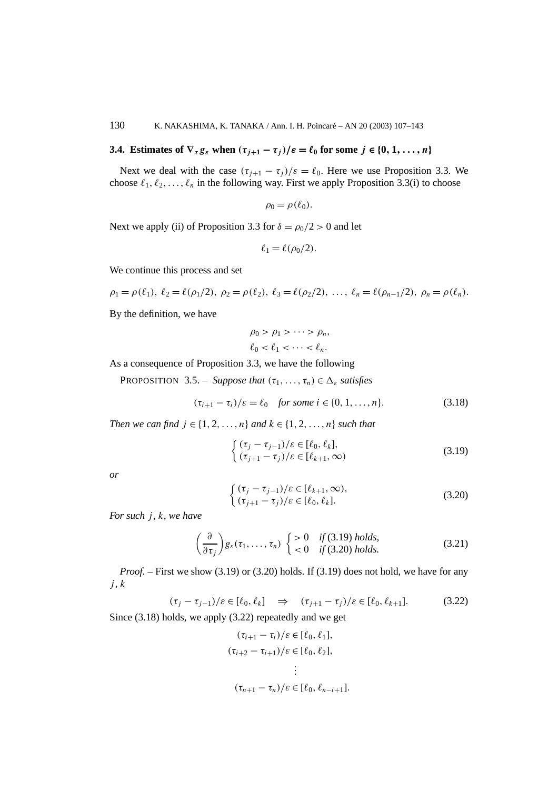## **3.4.** Estimates of  $\nabla_{\tau} g_{\varepsilon}$  when  $(\tau_{i+1} - \tau_i)/\varepsilon = \ell_0$  for some  $j \in \{0, 1, \ldots, n\}$

Next we deal with the case  $(\tau_{i+1} - \tau_i)/\varepsilon = \ell_0$ . Here we use Proposition 3.3. We choose  $\ell_1, \ell_2, \ldots, \ell_n$  in the following way. First we apply Proposition 3.3(i) to choose

$$
\rho_0 = \rho(\ell_0).
$$

Next we apply (ii) of Proposition 3.3 for  $\delta = \rho_0/2 > 0$  and let

$$
\ell_1 = \ell(\rho_0/2).
$$

We continue this process and set

$$
\rho_1 = \rho(\ell_1), \ \ell_2 = \ell(\rho_1/2), \ \rho_2 = \rho(\ell_2), \ \ell_3 = \ell(\rho_2/2), \ \ldots, \ \ell_n = \ell(\rho_{n-1}/2), \ \rho_n = \rho(\ell_n).
$$

By the definition, we have

$$
\rho_0 > \rho_1 > \cdots > \rho_n,
$$
  

$$
\ell_0 < \ell_1 < \cdots < \ell_n.
$$

As a consequence of Proposition 3.3, we have the following

**PROPOSITION** 3.5. – *Suppose that*  $(\tau_1, \ldots, \tau_n) \in \Delta_{\varepsilon}$  *satisfies* 

$$
(\tau_{i+1} - \tau_i)/\varepsilon = \ell_0 \quad \text{for some } i \in \{0, 1, \dots, n\}. \tag{3.18}
$$

*Then we can find*  $j \in \{1, 2, ..., n\}$  *and*  $k \in \{1, 2, ..., n\}$  *such that* 

$$
\begin{cases} (\tau_j - \tau_{j-1})/\varepsilon \in [\ell_0, \ell_k], \\ (\tau_{j+1} - \tau_j)/\varepsilon \in [\ell_{k+1}, \infty) \end{cases}
$$
\n(3.19)

*or*

$$
\begin{cases} (\tau_j - \tau_{j-1})/\varepsilon \in [\ell_{k+1}, \infty), \\ (\tau_{j+1} - \tau_j)/\varepsilon \in [\ell_0, \ell_k]. \end{cases}
$$
\n(3.20)

*For such j , k, we have*

$$
\left(\frac{\partial}{\partial \tau_j}\right) g_{\varepsilon}(\tau_1,\ldots,\tau_n) \begin{cases} > 0 & \text{if } (3.19) \text{ holds,} \\ < 0 & \text{if } (3.20) \text{ holds.} \end{cases} \tag{3.21}
$$

*Proof.* – First we show (3.19) or (3.20) holds. If (3.19) does not hold, we have for any  $j, k$ 

$$
(\tau_j - \tau_{j-1})/\varepsilon \in [\ell_0, \ell_k] \quad \Rightarrow \quad (\tau_{j+1} - \tau_j)/\varepsilon \in [\ell_0, \ell_{k+1}]. \tag{3.22}
$$

Since (3.18) holds, we apply (3.22) repeatedly and we get

$$
(\tau_{i+1} - \tau_i)/\varepsilon \in [\ell_0, \ell_1],
$$
  
\n
$$
(\tau_{i+2} - \tau_{i+1})/\varepsilon \in [\ell_0, \ell_2],
$$
  
\n
$$
\vdots
$$
  
\n
$$
(\tau_{n+1} - \tau_n)/\varepsilon \in [\ell_0, \ell_{n-i+1}].
$$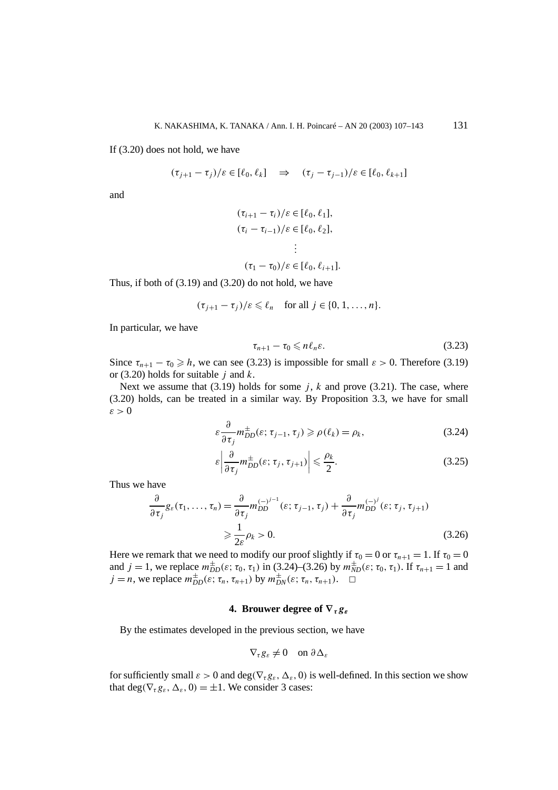If (3.20) does not hold, we have

$$
(\tau_{j+1} - \tau_j)/\varepsilon \in [\ell_0, \ell_k] \quad \Rightarrow \quad (\tau_j - \tau_{j-1})/\varepsilon \in [\ell_0, \ell_{k+1}]
$$

and

$$
(\tau_{i+1} - \tau_i)/\varepsilon \in [\ell_0, \ell_1],
$$
  
\n
$$
(\tau_i - \tau_{i-1})/\varepsilon \in [\ell_0, \ell_2],
$$
  
\n
$$
\vdots
$$
  
\n
$$
(\tau_1 - \tau_0)/\varepsilon \in [\ell_0, \ell_{i+1}].
$$

Thus, if both of  $(3.19)$  and  $(3.20)$  do not hold, we have

$$
(\tau_{j+1} - \tau_j)/\varepsilon \leq \ell_n \quad \text{for all } j \in \{0, 1, \ldots, n\}.
$$

In particular, we have

$$
\tau_{n+1} - \tau_0 \leqslant n\ell_n\varepsilon. \tag{3.23}
$$

Since  $\tau_{n+1} - \tau_0 \geq h$ , we can see (3.23) is impossible for small  $\varepsilon > 0$ . Therefore (3.19) or (3.20) holds for suitable *j* and *k*.

Next we assume that  $(3.19)$  holds for some *j*, *k* and prove  $(3.21)$ . The case, where (3.20) holds, can be treated in a similar way. By Proposition 3.3, we have for small *ε >* 0

$$
\varepsilon \frac{\partial}{\partial \tau_j} m_{DD}^{\pm}(\varepsilon; \tau_{j-1}, \tau_j) \geqslant \rho(\ell_k) = \rho_k,
$$
\n(3.24)

$$
\varepsilon \left| \frac{\partial}{\partial \tau_j} m_{DD}^{\pm}(\varepsilon; \tau_j, \tau_{j+1}) \right| \leq \frac{\rho_k}{2}.
$$
 (3.25)

Thus we have

$$
\frac{\partial}{\partial \tau_j} g_{\varepsilon}(\tau_1, \dots, \tau_n) = \frac{\partial}{\partial \tau_j} m_{DD}^{(-j^{j-1}}(\varepsilon; \tau_{j-1}, \tau_j) + \frac{\partial}{\partial \tau_j} m_{DD}^{(-j)}(\varepsilon; \tau_j, \tau_{j+1})
$$
\n
$$
\geq \frac{1}{2\varepsilon} \rho_k > 0.
$$
\n(3.26)

Here we remark that we need to modify our proof slightly if  $\tau_0 = 0$  or  $\tau_{n+1} = 1$ . If  $\tau_0 = 0$ and  $j = 1$ , we replace  $m_{DD}^{\pm}(\varepsilon; \tau_0, \tau_1)$  in (3.24)–(3.26) by  $m_{ND}^{\pm}(\varepsilon; \tau_0, \tau_1)$ . If  $\tau_{n+1} = 1$  and  $j = n$ , we replace  $m_{DD}^{\pm}(\varepsilon; \tau_n, \tau_{n+1})$  by  $m_{DN}^{\pm}(\varepsilon; \tau_n, \tau_{n+1})$ .  $\square$ 

### **4. Brouwer degree of ∇***τgε*

By the estimates developed in the previous section, we have

$$
\nabla_{\tau} g_{\varepsilon} \neq 0 \quad \text{on } \partial \Delta_{\varepsilon}
$$

for sufficiently small  $\varepsilon > 0$  and deg( $\nabla_{\tau} g_{\varepsilon}, \Delta_{\varepsilon}$ , 0) is well-defined. In this section we show that deg( $\nabla_{\tau}g_{\varepsilon}, \Delta_{\varepsilon}, 0$ ) =  $\pm 1$ . We consider 3 cases: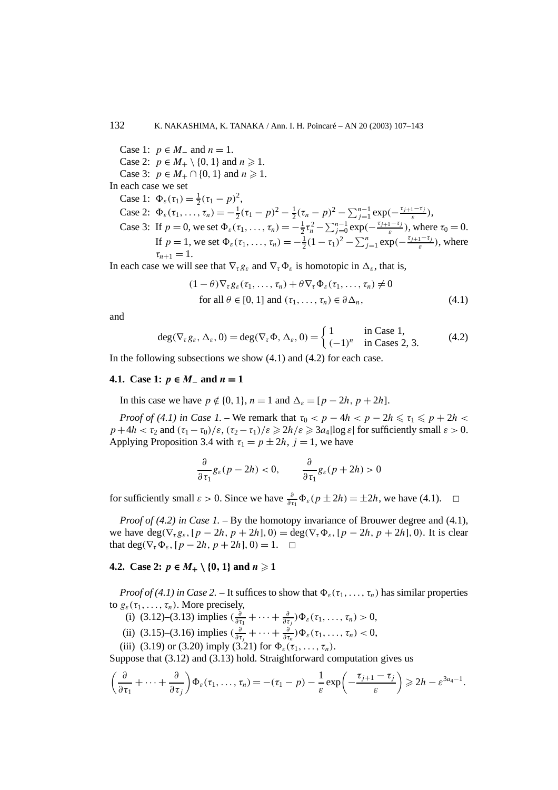Case 1:  $p \in M_-$  and  $n = 1$ . Case 2:  $p \in M_+ \setminus \{0, 1\}$  and  $n \ge 1$ . Case 3:  $p \in M_+ \cap \{0, 1\}$  and  $n \ge 1$ . In each case we set Case 1:  $\Phi_{\varepsilon}(\tau_1) = \frac{1}{2}(\tau_1 - p)^2$ , Case 2:  $\Phi_{\varepsilon}(\tau_1, \ldots, \tau_n) = -\frac{1}{2}(\tau_1 - p)^2 - \frac{1}{2}(\tau_n - p)^2 - \sum_{j=1}^{n-1} \exp(-\frac{\tau_{j+1} - \tau_j}{\varepsilon})$ , Case 3: If *p* = 0, we set  $Φ_ε(τ_1, …, τ_n) = -\frac{1}{2}τ_n^2 - \sum_{j=0}^{n-1} exp(-\frac{τ_{j+1} - τ_j}{ε})$ , where  $τ_0 = 0$ . If  $p = 1$ , we set  $\Phi_{\varepsilon}(\tau_1, \ldots, \tau_n) = -\frac{1}{2}(1 - \tau_1)^2 - \sum_{j=1}^n \exp(-\frac{\tau_{j+1} - \tau_j}{\varepsilon})$ , where  $\tau_{n+1} = 1.$ 

In each case we will see that  $\nabla_{\tau} g_{\varepsilon}$  and  $\nabla_{\tau} \Phi_{\varepsilon}$  is homotopic in  $\Delta_{\varepsilon}$ , that is,

$$
(1 - \theta)\nabla_{\tau} g_{\varepsilon}(\tau_1, \dots, \tau_n) + \theta \nabla_{\tau} \Phi_{\varepsilon}(\tau_1, \dots, \tau_n) \neq 0
$$
  
for all  $\theta \in [0, 1]$  and  $(\tau_1, \dots, \tau_n) \in \partial \Delta_n$ , (4.1)

and

$$
\deg(\nabla_{\tau} g_{\varepsilon}, \Delta_{\varepsilon}, 0) = \deg(\nabla_{\tau} \Phi, \Delta_{\varepsilon}, 0) = \begin{cases} 1 & \text{in Case 1,} \\ (-1)^n & \text{in Cases 2, 3.} \end{cases}
$$
(4.2)

In the following subsections we show  $(4.1)$  and  $(4.2)$  for each case.

#### **4.1.** Case 1:  $p \text{ } \in M_-\text{ and } n = 1$

In this case we have  $p \notin \{0, 1\}$ ,  $n = 1$  and  $\Delta_{\varepsilon} = [p - 2h, p + 2h]$ .

*Proof of (4.1) in Case 1.* – We remark that  $\tau_0 < p - 4h < p - 2h \leq \tau_1 \leq p + 2h <$  $p+4h < \tau_2$  and  $(\tau_1 - \tau_0)/\varepsilon$ ,  $(\tau_2 - \tau_1)/\varepsilon \geqslant 2h/\varepsilon \geqslant 3a_4 \log \varepsilon$  for sufficiently small  $\varepsilon > 0$ . Applying Proposition 3.4 with  $\tau_1 = p \pm 2h$ ,  $j = 1$ , we have

$$
\frac{\partial}{\partial \tau_1} g_{\varepsilon}(p-2h) < 0, \qquad \frac{\partial}{\partial \tau_1} g_{\varepsilon}(p+2h) > 0
$$

for sufficiently small  $\varepsilon > 0$ . Since we have  $\frac{\partial}{\partial \tau_1} \Phi_{\varepsilon}(p \pm 2h) = \pm 2h$ , we have (4.1).  $\Box$ 

*Proof of (4.2) in Case 1.* – By the homotopy invariance of Brouwer degree and (4.1), we have  $\deg(\nabla_{\tau} g_{\varepsilon}, [p-2h, p+2h], 0) = \deg(\nabla_{\tau} \Phi_{\varepsilon}, [p-2h, p+2h], 0)$ . It is clear that deg( $\nabla_{\tau} \Phi_{\varepsilon}$ ,  $[p - 2h, p + 2h]$ , 0*)* = 1.  $\Box$ 

### **4.2.** Case 2:  $p \in M_+ \setminus \{0, 1\}$  and  $n \ge 1$

*Proof of (4.1) in Case 2.* – It suffices to show that  $\Phi_{\varepsilon}(\tau_1,\ldots,\tau_n)$  has similar properties to  $g_{\varepsilon}(\tau_1,\ldots,\tau_n)$ . More precisely,

- (i) (3.12)–(3.13) implies  $(\frac{\partial}{\partial \tau_1} + \cdots + \frac{\partial}{\partial \tau_j}) \Phi_{\varepsilon}(\tau_1, \ldots, \tau_n) > 0$ ,
- (ii) (3.15)–(3.16) implies  $\left(\frac{\partial}{\partial \tau_j} + \cdots + \frac{\partial}{\partial \tau_n}\right)\Phi_{\varepsilon}(\tau_1, \ldots, \tau_n) < 0$ ,
- (iii) (3.19) or (3.20) imply (3.21) for  $\Phi_{\varepsilon}(\tau_1, \ldots, \tau_n)$ .

Suppose that (3.12) and (3.13) hold. Straightforward computation gives us

$$
\left(\frac{\partial}{\partial \tau_1}+\cdots+\frac{\partial}{\partial \tau_j}\right)\Phi_{\varepsilon}(\tau_1,\ldots,\tau_n)=- (\tau_1-p)-\frac{1}{\varepsilon}\exp\left(-\frac{\tau_{j+1}-\tau_j}{\varepsilon}\right)\geq 2h-\varepsilon^{3a_4-1}.
$$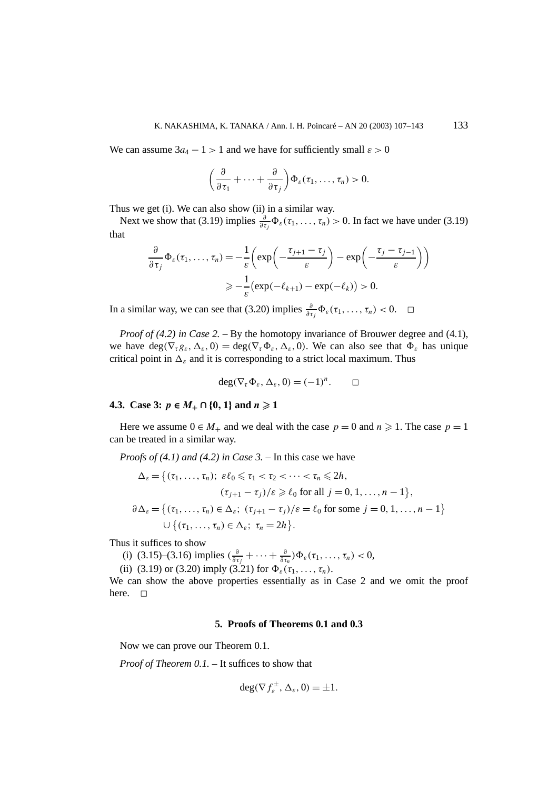We can assume  $3a_4 - 1 > 1$  and we have for sufficiently small  $\varepsilon > 0$ 

$$
\left(\frac{\partial}{\partial \tau_1}+\cdots+\frac{\partial}{\partial \tau_j}\right)\Phi_{\varepsilon}(\tau_1,\ldots,\tau_n)>0.
$$

Thus we get (i). We can also show (ii) in a similar way.

Next we show that (3.19) implies  $\frac{\partial}{\partial \tau_j} \Phi_{\varepsilon}(\tau_1, \ldots, \tau_n) > 0$ . In fact we have under (3.19) that

$$
\frac{\partial}{\partial \tau_j} \Phi_{\varepsilon}(\tau_1, \dots, \tau_n) = -\frac{1}{\varepsilon} \left( \exp\left(-\frac{\tau_{j+1} - \tau_j}{\varepsilon}\right) - \exp\left(-\frac{\tau_j - \tau_{j-1}}{\varepsilon}\right) \right)
$$

$$
\geq -\frac{1}{\varepsilon} \left( \exp(-\ell_{k+1}) - \exp(-\ell_k) \right) > 0.
$$

In a similar way, we can see that (3.20) implies  $\frac{\partial}{\partial \tau_j} \Phi_{\varepsilon}(\tau_1, \ldots, \tau_n) < 0$ .  $\Box$ 

*Proof of (4.2) in Case 2.* – By the homotopy invariance of Brouwer degree and (4.1), we have  $\deg(\nabla_{\tau}g_{\varepsilon}, \Delta_{\varepsilon}, 0) = \deg(\nabla_{\tau}\Phi_{\varepsilon}, \Delta_{\varepsilon}, 0)$ . We can also see that  $\Phi_{\varepsilon}$  has unique critical point in  $\Delta_{\varepsilon}$  and it is corresponding to a strict local maximum. Thus

$$
\deg(\nabla_{\tau}\Phi_{\varepsilon},\Delta_{\varepsilon},0)=(-1)^n.\qquad \Box
$$

### **4.3.** Case 3:  $p \in M_+ \cap \{0, 1\}$  and  $n \ge 1$

Here we assume  $0 \in M_+$  and we deal with the case  $p = 0$  and  $n \ge 1$ . The case  $p = 1$ can be treated in a similar way.

*Proofs of (4.1) and (4.2) in Case 3. –* In this case we have

$$
\Delta_{\varepsilon} = \{ (\tau_1, \dots, \tau_n); \ \varepsilon \ell_0 \leq \tau_1 < \tau_2 < \dots < \tau_n \leq 2h, \\ (\tau_{j+1} - \tau_j) / \varepsilon \geq \ell_0 \text{ for all } j = 0, 1, \dots, n-1 \}, \\ \partial \Delta_{\varepsilon} = \{ (\tau_1, \dots, \tau_n) \in \Delta_{\varepsilon}; \ (\tau_{j+1} - \tau_j) / \varepsilon = \ell_0 \text{ for some } j = 0, 1, \dots, n-1 \} \\ \cup \{ (\tau_1, \dots, \tau_n) \in \Delta_{\varepsilon}; \ \tau_n = 2h \}.
$$

Thus it suffices to show

- (i) (3.15)–(3.16) implies  $\left(\frac{\partial}{\partial \tau_j} + \cdots + \frac{\partial}{\partial \tau_n}\right)\Phi_{\varepsilon}(\tau_1, \ldots, \tau_n) < 0$ ,
- (ii) (3.19) or (3.20) imply (3.21) for  $\Phi_{\varepsilon}(\tau_1, \ldots, \tau_n)$ .

We can show the above properties essentially as in Case 2 and we omit the proof here.  $\square$ 

#### **5. Proofs of Theorems 0.1 and 0.3**

Now we can prove our Theorem 0.1.

*Proof of Theorem 0.1. –* It suffices to show that

$$
\deg(\nabla f_{\varepsilon}^{\pm}, \Delta_{\varepsilon}, 0) = \pm 1.
$$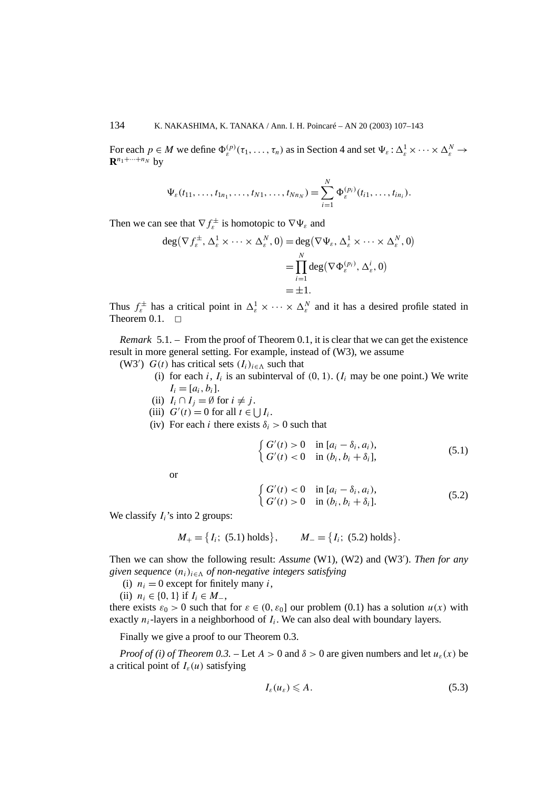For each  $p \in M$  we define  $\Phi_{\varepsilon}^{(p)}(\tau_1,\ldots,\tau_n)$  as in Section 4 and set  $\Psi_{\varepsilon} : \Delta_{\varepsilon}^1 \times \cdots \times \Delta_{\varepsilon}^N \to$  $\mathbf{R}^{n_1+\cdots+n_N}$  by

$$
\Psi_{\varepsilon}(t_{11},\ldots,t_{1n_1},\ldots,t_{N1},\ldots,t_{Nn_N})=\sum_{i=1}^N\Phi_{\varepsilon}^{(p_i)}(t_{i1},\ldots,t_{in_i}).
$$

Then we can see that  $\nabla f_{\varepsilon}^{\pm}$  is homotopic to  $\nabla \Psi_{\varepsilon}$  and

$$
\deg(\nabla f_{\varepsilon}^{\pm}, \Delta_{\varepsilon}^{1} \times \cdots \times \Delta_{\varepsilon}^{N}, 0) = \deg(\nabla \Psi_{\varepsilon}, \Delta_{\varepsilon}^{1} \times \cdots \times \Delta_{\varepsilon}^{N}, 0)
$$
  
= 
$$
\prod_{i=1}^{N} \deg(\nabla \Phi_{\varepsilon}^{(p_{i})}, \Delta_{\varepsilon}^{i}, 0)
$$
  
= 
$$
\pm 1.
$$

Thus  $f_{\varepsilon}^{\pm}$  has a critical point in  $\Delta_{\varepsilon}^{1} \times \cdots \times \Delta_{\varepsilon}^{N}$  and it has a desired profile stated in Theorem  $0.1. \square$ 

*Remark* 5.1. – From the proof of Theorem 0.1, it is clear that we can get the existence result in more general setting. For example, instead of (W3), we assume

- (W3')  $G(t)$  has critical sets  $(I_i)_{i \in \Lambda}$  such that
	- (i) for each *i*,  $I_i$  is an subinterval of  $(0, 1)$ .  $(I_i$  may be one point.) We write  $I_i = [a_i, b_i].$
	- (ii)  $I_i \cap I_j = \emptyset$  for  $i \neq j$ .
	- (iii)  $G'(t) = 0$  for all  $t \in \bigcup I_i$ .
	- (iv) For each *i* there exists  $\delta_i > 0$  such that

$$
\begin{cases} G'(t) > 0 & \text{in } [a_i - \delta_i, a_i), \\ G'(t) < 0 & \text{in } (b_i, b_i + \delta_i], \end{cases}
$$
\n(5.1)

or

$$
\begin{cases} G'(t) < 0 & \text{in } [a_i - \delta_i, a_i), \\ G'(t) > 0 & \text{in } (b_i, b_i + \delta_i]. \end{cases} \tag{5.2}
$$

We classify  $I_i$ 's into 2 groups:

$$
M_{+} = \{I_i; (5.1) holds\}, \qquad M_{-} = \{I_i; (5.2) holds\}.
$$

Then we can show the following result: *Assume* (W1), (W2) and (W3 ). *Then for any given sequence*  $(n_i)_{i \in \Lambda}$  *of non-negative integers satisfying* 

- (i)  $n_i = 0$  except for finitely many *i*,
- (ii)  $n_i$  ∈ {0, 1} if  $I_i$  ∈  $M_$ ,

there exists  $\varepsilon_0 > 0$  such that for  $\varepsilon \in (0, \varepsilon_0]$  our problem (0.1) has a solution  $u(x)$  with exactly  $n_i$ -layers in a neighborhood of  $I_i$ . We can also deal with boundary layers.

Finally we give a proof to our Theorem 0.3.

*Proof of (i) of Theorem 0.3.* – Let  $A > 0$  and  $\delta > 0$  are given numbers and let  $u_{\epsilon}(x)$  be a critical point of  $I_{\varepsilon}(u)$  satisfying

$$
I_{\varepsilon}(u_{\varepsilon}) \leqslant A. \tag{5.3}
$$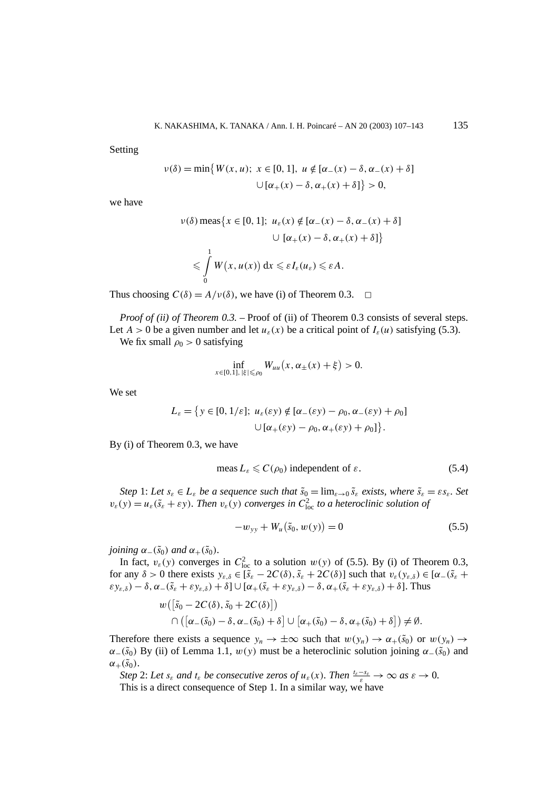Setting

$$
\nu(\delta) = \min\{W(x, u); \ x \in [0, 1], \ u \notin [\alpha_-(x) - \delta, \alpha_-(x) + \delta]
$$

$$
\cup [\alpha_+(x) - \delta, \alpha_+(x) + \delta] \} > 0,
$$

we have

$$
\nu(\delta) \operatorname{meas}\left\{x \in [0, 1]; \ u_{\varepsilon}(x) \notin [\alpha_{-}(x) - \delta, \alpha_{-}(x) + \delta] \right\}
$$

$$
\cup \left[\alpha_{+}(x) - \delta, \alpha_{+}(x) + \delta\right] \right\}
$$

$$
\leq \int_{0}^{1} W(x, u(x)) dx \leq \varepsilon I_{\varepsilon}(u_{\varepsilon}) \leq \varepsilon A.
$$

Thus choosing  $C(\delta) = A/v(\delta)$ , we have (i) of Theorem 0.3.  $\Box$ 

*Proof of (ii) of Theorem 0.3.* – Proof of (ii) of Theorem 0.3 consists of several steps. Let  $A > 0$  be a given number and let  $u_{\varepsilon}(x)$  be a critical point of  $I_{\varepsilon}(u)$  satisfying (5.3).

We fix small  $\rho_0 > 0$  satisfying

$$
\inf_{x \in [0,1], |\xi| \le \rho_0} W_{uu}(x, \alpha_{\pm}(x) + \xi) > 0.
$$

We set

$$
L_{\varepsilon} = \{ y \in [0, 1/\varepsilon]; \ u_{\varepsilon}(\varepsilon y) \notin [\alpha_{-}(\varepsilon y) - \rho_{0}, \alpha_{-}(\varepsilon y) + \rho_{0}] \}
$$

$$
\cup [\alpha_{+}(\varepsilon y) - \rho_{0}, \alpha_{+}(\varepsilon y) + \rho_{0}] \}.
$$

By (i) of Theorem 0.3, we have

$$
meas L_{\varepsilon} \leqslant C(\rho_0) \text{ independent of } \varepsilon. \tag{5.4}
$$

*Step* 1: Let  $s_{\varepsilon} \in L_{\varepsilon}$  *be a sequence such that*  $\tilde{s}_0 = \lim_{\varepsilon \to 0} \tilde{s}_{\varepsilon}$  *exists, where*  $\tilde{s}_{\varepsilon} = \varepsilon s_{\varepsilon}$ *. Set*  $v_{\varepsilon}(y) = u_{\varepsilon}(\tilde{s}_{\varepsilon} + \varepsilon y)$ . Then  $v_{\varepsilon}(y)$  converges in  $C_{\text{loc}}^2$  to a heteroclinic solution of

$$
-w_{yy} + W_u(\tilde{s}_0, w(y)) = 0
$$
\n(5.5)

*joining*  $\alpha_-(\tilde{s}_0)$  *and*  $\alpha_+(\tilde{s}_0)$ *.* 

In fact,  $v_{\varepsilon}(y)$  converges in  $C_{\text{loc}}^2$  to a solution  $w(y)$  of (5.5). By (i) of Theorem 0.3, for any  $\delta > 0$  there exists  $y_{\varepsilon,\delta} \in [\tilde{s}_{\varepsilon} - 2C(\delta), \tilde{s}_{\varepsilon} + 2C(\delta)]$  such that  $v_{\varepsilon}(y_{\varepsilon,\delta}) \in [\alpha - (\tilde{s}_{\varepsilon} + \delta)]$  $\epsilon y_{\varepsilon,\delta}$ ) −  $\delta$ ,  $\alpha_-(\tilde{s}_{\varepsilon} + \varepsilon y_{\varepsilon,\delta}) + \delta$ ]  $\cup$  [ $\alpha_+(\tilde{s}_{\varepsilon} + \varepsilon y_{\varepsilon,\delta}) - \delta$ ,  $\alpha_+(\tilde{s}_{\varepsilon} + \varepsilon y_{\varepsilon,\delta}) + \delta$ ]. Thus

$$
w([\tilde{s}_0 - 2C(\delta), \tilde{s}_0 + 2C(\delta)])
$$
  

$$
\cap ([\alpha_-(\tilde{s}_0) - \delta, \alpha_-(\tilde{s}_0) + \delta] \cup [\alpha_+(\tilde{s}_0) - \delta, \alpha_+(\tilde{s}_0) + \delta]) \neq \emptyset.
$$

Therefore there exists a sequence  $y_n \to \pm \infty$  such that  $w(y_n) \to \alpha_+(\tilde{s}_0)$  or  $w(y_n) \to$  $\alpha$ −*(svo)* By (ii) of Lemma 1.1,  $w(y)$  must be a heteroclinic solution joining  $\alpha$ −*(s<sub>0</sub>)* and  $\alpha_+(\tilde{s}_0)$ .

*Step* 2: Let  $s_{\varepsilon}$  *and*  $t_{\varepsilon}$  *be consecutive zeros of*  $u_{\varepsilon}(x)$ *. Then*  $\frac{t_{\varepsilon}-s_{\varepsilon}}{\varepsilon} \to \infty$  *as*  $\varepsilon \to 0$ *.* This is a direct consequence of Step 1. In a similar way, we have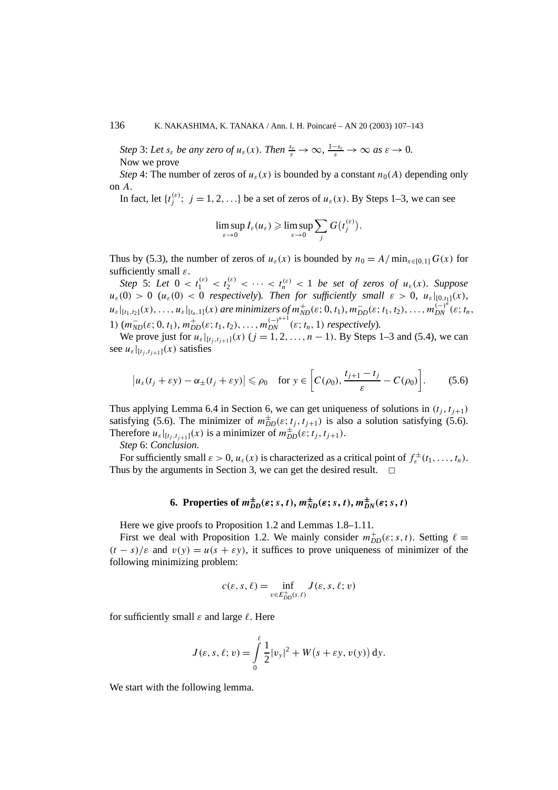*Step* 3: Let  $s_{\varepsilon}$  *be any zero of*  $u_{\varepsilon}(x)$ *. Then*  $\frac{s_{\varepsilon}}{\varepsilon} \to \infty$ ,  $\frac{1-s_{\varepsilon}}{\varepsilon} \to \infty$  as  $\varepsilon \to 0$ . Now we prove

*Step* 4: The number of zeros of  $u_{\varepsilon}(x)$  is bounded by a constant  $n_0(A)$  depending only on *A*.

In fact, let  $\{t_j^{(\varepsilon)}; j = 1, 2, ...\}$  be a set of zeros of  $u_{\varepsilon}(x)$ . By Steps 1–3, we can see

$$
\limsup_{\varepsilon\to 0} I_{\varepsilon}(u_{\varepsilon}) \geqslant \limsup_{\varepsilon\to 0} \sum_{j} G(t_j^{(\varepsilon)}) .
$$

Thus by (5.3), the number of zeros of  $u_{\varepsilon}(x)$  is bounded by  $n_0 = A/\min_{x \in [0,1]} G(x)$  for sufficiently small *ε*.

*Step* 5: Let  $0 < t_1^{(\varepsilon)} < t_2^{(\varepsilon)} < \cdots < t_n^{(\varepsilon)} < 1$  be set of zeros of  $u_{\varepsilon}(x)$ . Suppose  $u_{\varepsilon}(0) > 0$  ( $u_{\varepsilon}(0) < 0$  *respectively*). Then for sufficiently small  $\varepsilon > 0$ ,  $u_{\varepsilon}|_{[0,t_1]}(x)$ ,  $u_{\varepsilon}|_{[t_1,t_2]}(x),\ldots,u_{\varepsilon}|_{[t_n,1]}(x)$  are minimizers of  $m_{ND}^+(\varepsilon;0,t_1), m_{DD}^-(\varepsilon;t_1,t_2),\ldots, m_{DN}^{(-)^n}(\varepsilon;t_n,$ 1)  $(m_{ND}^-(\varepsilon; 0, t_1), m_{DD}^+(\varepsilon; t_1, t_2), \ldots, m_{DN}^{(-)^{n+1}}(\varepsilon; t_n, 1)$  respectively).

We prove just for  $u_{\varepsilon}|_{[t_j,t_{j+1}]}(x)$  ( $j = 1, 2, ..., n - 1$ ). By Steps 1–3 and (5.4), we can see  $u_{\varepsilon}|_{[t_i, t_{i+1}]}(x)$  satisfies

$$
\left|u_{\varepsilon}(t_j + \varepsilon y) - \alpha_{\pm}(t_j + \varepsilon y)\right| \leqslant \rho_0 \quad \text{for } y \in \left[C(\rho_0), \frac{t_{j+1} - t_j}{\varepsilon} - C(\rho_0)\right].\tag{5.6}
$$

Thus applying Lemma 6.4 in Section 6, we can get uniqueness of solutions in  $(t_i, t_{i+1})$ satisfying (5.6). The minimizer of  $m_{DD}^{\pm}(\varepsilon; t_j, t_{j+1})$  is also a solution satisfying (5.6). Therefore  $u_{\varepsilon}|_{[t_j,t_{j+1}]}(x)$  is a minimizer of  $m_{DD}^{\pm}(\varepsilon;t_j,t_{j+1})$ .

*Step* 6: *Conclusion*.

For sufficiently small  $\varepsilon > 0$ ,  $u_{\varepsilon}(x)$  is characterized as a critical point of  $f_{\varepsilon}^{\pm}(t_1, \ldots, t_n)$ . Thus by the arguments in Section 3, we can get the desired result.

## **6.** Properties of  $m_{DD}^{\pm}(\varepsilon; s, t)$ ,  $m_{ND}^{\pm}(\varepsilon; s, t)$ ,  $m_{DN}^{\pm}(\varepsilon; s, t)$

Here we give proofs to Proposition 1.2 and Lemmas 1.8–1.11.

First we deal with Proposition 1.2. We mainly consider  $m_{DD}^{\dagger}(\varepsilon; s, t)$ . Setting  $\ell =$  $(t - s)/\varepsilon$  and  $v(y) = u(s + \varepsilon y)$ , it suffices to prove uniqueness of minimizer of the following minimizing problem:

$$
c(\varepsilon, s, \ell) = \inf_{v \in E_{DD}^+(s, \ell)} J(\varepsilon, s, \ell; v)
$$

for sufficiently small  $\varepsilon$  and large  $\ell$ . Here

$$
J(\varepsilon, s, \ell; v) = \int_{0}^{\ell} \frac{1}{2} |v_{y}|^{2} + W(s + \varepsilon y, v(y)) dy.
$$

We start with the following lemma.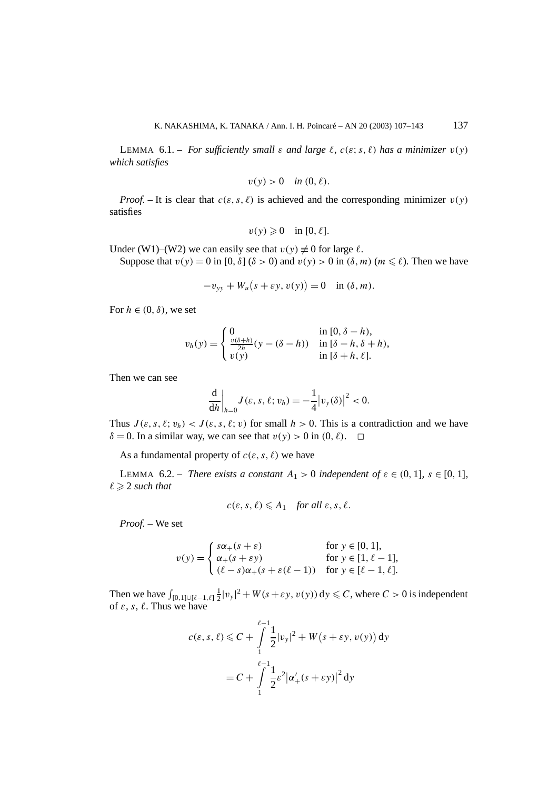LEMMA 6.1. – *For sufficiently small*  $\varepsilon$  *and large*  $\ell$ ,  $c(\varepsilon; s, \ell)$  *has a minimizer*  $v(y)$ *which satisfies*

$$
v(y) > 0 \quad \text{in } (0, \ell).
$$

*Proof.* – It is clear that  $c(\varepsilon, s, \ell)$  is achieved and the corresponding minimizer  $v(y)$ satisfies

$$
v(y) \geq 0 \quad \text{in } [0, \ell].
$$

Under (W1)–(W2) we can easily see that  $v(y) \neq 0$  for large  $\ell$ .

Suppose that  $v(y) = 0$  in  $[0, \delta]$  ( $\delta > 0$ ) and  $v(y) > 0$  in  $(\delta, m)$  ( $m \le \ell$ ). Then we have

$$
-v_{yy} + W_u(s + \varepsilon y, v(y)) = 0 \quad \text{in } (\delta, m).
$$

For  $h \in (0, \delta)$ , we set

$$
v_h(y) = \begin{cases} 0 & \text{in } [0, \delta - h), \\ \frac{v(\delta + h)}{2h}(y - (\delta - h)) & \text{in } [\delta - h, \delta + h), \\ v(y) & \text{in } [\delta + h, \ell]. \end{cases}
$$

Then we can see

$$
\frac{\mathrm{d}}{\mathrm{d}h}\bigg|_{h=0}J(\varepsilon,s,\ell;v_h)=-\frac{1}{4}|v_y(\delta)|^2<0.
$$

Thus  $J(\varepsilon, s, \ell; v_h) < J(\varepsilon, s, \ell; v)$  for small  $h > 0$ . This is a contradiction and we have  $\delta = 0$ . In a similar way, we can see that  $v(y) > 0$  in  $(0, \ell)$ .

As a fundamental property of  $c(\varepsilon, s, \ell)$  we have

LEMMA 6.2. – *There exists a constant*  $A_1 > 0$  *independent* of  $\varepsilon \in (0, 1]$ *,*  $s \in [0, 1]$ *,*  $\ell \geqslant 2$  *such that* 

$$
c(\varepsilon, s, \ell) \leq A_1
$$
 for all  $\varepsilon, s, \ell$ .

*Proof. –* We set

$$
v(y) = \begin{cases} s\alpha_{+}(s+\varepsilon) & \text{for } y \in [0,1], \\ \alpha_{+}(s+\varepsilon y) & \text{for } y \in [1,\ell-1], \\ (\ell-s)\alpha_{+}(s+\varepsilon(\ell-1)) & \text{for } y \in [\ell-1,\ell]. \end{cases}
$$

Then we have  $\int_{[0,1]\cup[\ell-1,\ell]} \frac{1}{2} |v_y|^2 + W(s+\varepsilon y, v(y)) dy \leq C$ , where  $C > 0$  is independent of  $\varepsilon$ ,  $s$ ,  $\ell$ . Thus we have

$$
c(\varepsilon, s, \ell) \leq C + \int_{1}^{\ell-1} \frac{1}{2} |v_y|^2 + W(s + \varepsilon y, v(y)) \, dy
$$

$$
= C + \int_{1}^{\ell-1} \frac{1}{2} \varepsilon^2 |\alpha_+'(s + \varepsilon y)|^2 \, dy
$$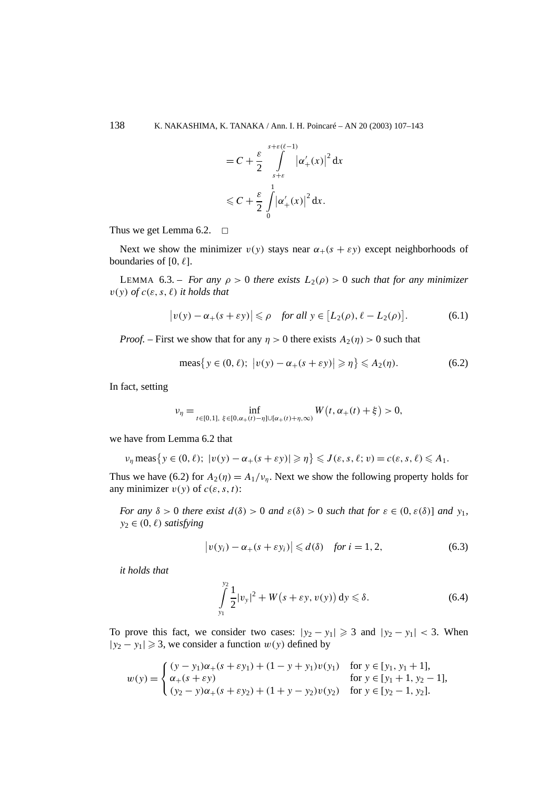$$
= C + \frac{\varepsilon}{2} \int_{s+\varepsilon}^{s+\varepsilon(\ell-1)} |\alpha'_+(x)|^2 dx
$$
  
\$\leq C + \frac{\varepsilon}{2} \int\_{0}^{1} |\alpha'\_+(x)|^2 dx.\$

Thus we get Lemma 6.2.  $\Box$ 

Next we show the minimizer  $v(y)$  stays near  $\alpha_+(s + \varepsilon y)$  except neighborhoods of boundaries of  $[0, \ell]$ .

LEMMA 6.3. – *For any*  $\rho > 0$  *there exists*  $L_2(\rho) > 0$  *such that for any minimizer*  $v(y)$  *of*  $c(\varepsilon, s, \ell)$  *it holds that* 

$$
|v(y) - \alpha_+(s + \varepsilon y)| \le \rho \quad \text{for all } y \in [L_2(\rho), \ell - L_2(\rho)]. \tag{6.1}
$$

*Proof.* – First we show that for any  $\eta > 0$  there exists  $A_2(\eta) > 0$  such that

$$
\text{meas}\big\{y\in(0,\ell);\ \big|v(y)-\alpha_+(s+\varepsilon y)\big|\geqslant\eta\big\}\leqslant A_2(\eta). \tag{6.2}
$$

In fact, setting

$$
\nu_{\eta} = \inf_{t \in [0,1], \ \xi \in [0,\alpha_{+}(t)-\eta] \cup [\alpha_{+}(t)+\eta,\infty)} W(t,\alpha_{+}(t)+\xi) > 0,
$$

we have from Lemma 6.2 that

$$
\nu_{\eta} \operatorname{meas}\left\{y \in (0,\ell); \ |v(y) - \alpha_{+}(s + \varepsilon y)| \geqslant \eta\right\} \leqslant J(\varepsilon, s, \ell; v) = c(\varepsilon, s, \ell) \leqslant A_{1}.
$$

Thus we have (6.2) for  $A_2(\eta) = A_1/\nu_n$ . Next we show the following property holds for any minimizer  $v(y)$  of  $c(\varepsilon, s, t)$ :

*For any*  $\delta > 0$  *there exist*  $d(\delta) > 0$  *and*  $\varepsilon(\delta) > 0$  *such that for*  $\varepsilon \in (0, \varepsilon(\delta))$  *and*  $y_1$ *,*  $y_2 \in (0, \ell)$  *satisfying* 

$$
\left|v(y_i) - \alpha_+(s + \varepsilon y_i)\right| \leq d(\delta) \quad \text{for } i = 1, 2,
$$
\n
$$
(6.3)
$$

*it holds that*

$$
\int_{y_1}^{y_2} \frac{1}{2} |v_y|^2 + W(s + \varepsilon y, v(y)) \, dy \le \delta. \tag{6.4}
$$

To prove this fact, we consider two cases:  $|y_2 - y_1| \ge 3$  and  $|y_2 - y_1| < 3$ . When  $|y_2 - y_1| \ge 3$ , we consider a function  $w(y)$  defined by

$$
w(y) = \begin{cases} (y - y_1)\alpha_+(s + \varepsilon y_1) + (1 - y + y_1)v(y_1) & \text{for } y \in [y_1, y_1 + 1], \\ \alpha_+(s + \varepsilon y) & \text{for } y \in [y_1 + 1, y_2 - 1], \\ (y_2 - y)\alpha_+(s + \varepsilon y_2) + (1 + y - y_2)v(y_2) & \text{for } y \in [y_2 - 1, y_2]. \end{cases}
$$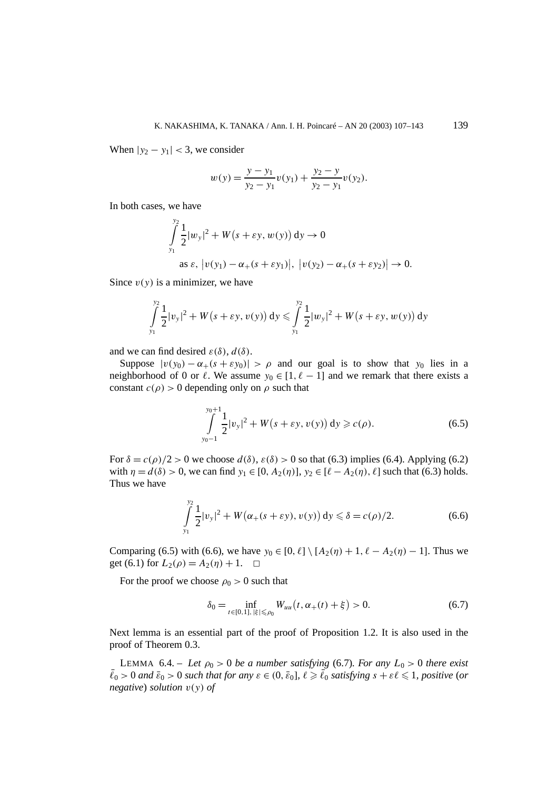When  $|y_2 - y_1| < 3$ , we consider

$$
w(y) = \frac{y - y_1}{y_2 - y_1} v(y_1) + \frac{y_2 - y}{y_2 - y_1} v(y_2).
$$

In both cases, we have

$$
\int_{y_1}^{y_2} \frac{1}{2} |w_y|^2 + W(s + \varepsilon y, w(y)) dy \to 0
$$
  
as  $\varepsilon$ ,  $|v(y_1) - \alpha_+(s + \varepsilon y_1)|$ ,  $|v(y_2) - \alpha_+(s + \varepsilon y_2)| \to 0$ .

Since  $v(y)$  is a minimizer, we have

$$
\int_{y_1}^{y_2} \frac{1}{2} |v_y|^2 + W(s + \varepsilon y, v(y)) \, dy \leq \int_{y_1}^{y_2} \frac{1}{2} |w_y|^2 + W(s + \varepsilon y, w(y)) \, dy
$$

and we can find desired  $\varepsilon(\delta)$ ,  $d(\delta)$ .

Suppose  $|v(y_0) - \alpha_+(s + \varepsilon y_0)| > \rho$  and our goal is to show that  $y_0$  lies in a neighborhood of 0 or  $\ell$ . We assume  $y_0 \in [1, \ell - 1]$  and we remark that there exists a constant  $c(\rho) > 0$  depending only on  $\rho$  such that

$$
\int_{y_0-1}^{y_0+1} \frac{1}{2} |v_y|^2 + W(s + \varepsilon y, v(y)) dy \ge c(\rho).
$$
 (6.5)

For  $\delta = c(\rho)/2 > 0$  we choose  $d(\delta)$ ,  $\varepsilon(\delta) > 0$  so that (6.3) implies (6.4). Applying (6.2) with  $\eta = d(\delta) > 0$ , we can find  $y_1 \in [0, A_2(\eta)], y_2 \in [\ell - A_2(\eta), \ell]$  such that (6.3) holds. Thus we have

$$
\int_{y_1}^{y_2} \frac{1}{2} |v_y|^2 + W(\alpha_+(s + \varepsilon y), v(y)) \, dy \le \delta = c(\rho)/2. \tag{6.6}
$$

Comparing (6.5) with (6.6), we have  $y_0 \in [0, \ell] \setminus [A_2(\eta) + 1, \ell - A_2(\eta) - 1]$ . Thus we get (6.1) for  $L_2(\rho) = A_2(\eta) + 1$ .  $\Box$ 

For the proof we choose  $\rho_0 > 0$  such that

$$
\delta_0 = \inf_{t \in [0,1], |\xi| \le \rho_0} W_{uu}(t, \alpha_+(t) + \xi) > 0.
$$
 (6.7)

Next lemma is an essential part of the proof of Proposition 1.2. It is also used in the proof of Theorem 0.3.

LEMMA 6.4. – Let  $\rho_0 > 0$  be a number satisfying (6.7). For any  $L_0 > 0$  there exist  $\bar{\ell}_0 > 0$  *and*  $\bar{\epsilon}_0 > 0$  *such that for any*  $\epsilon \in (0, \bar{\epsilon}_0]$ ,  $\ell \geq \bar{\ell}_0$  *satisfying*  $s + \epsilon \ell \leq 1$ , positive (*or negative*) *solution v(y) of*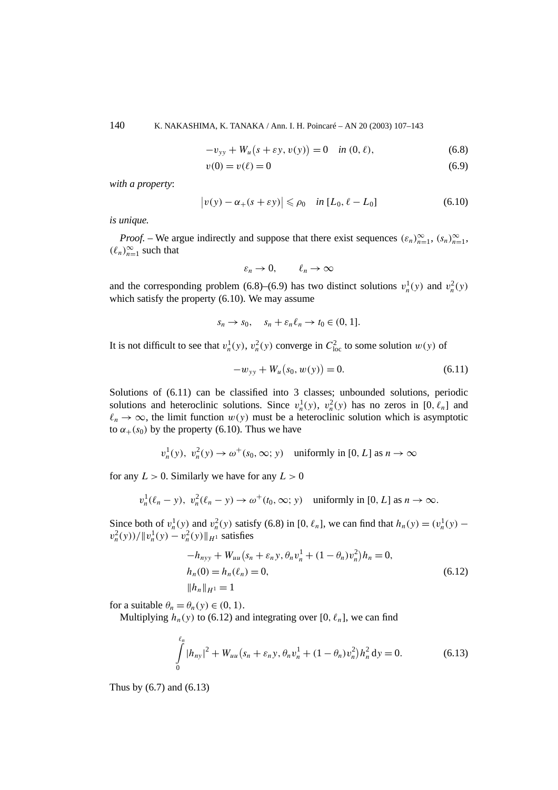140 K. NAKASHIMA, K. TANAKA / Ann. I. H. Poincaré – AN 20 (2003) 107–143

$$
-v_{yy} + W_u(s + \varepsilon y, v(y)) = 0 \quad \text{in } (0, \ell), \tag{6.8}
$$

$$
v(0) = v(\ell) = 0 \tag{6.9}
$$

*with a property*:

$$
|v(y) - \alpha_+(s + \varepsilon y)| \le \rho_0 \quad \text{in } [L_0, \ell - L_0]
$$
\n(6.10)

*is unique.*

*Proof.* – We argue indirectly and suppose that there exist sequences  $(\varepsilon_n)_{n=1}^{\infty}$ ,  $(s_n)_{n=1}^{\infty}$ ,  $(\ell_n)_{n=1}^{\infty}$  such that

$$
\varepsilon_n \to 0, \qquad \ell_n \to \infty
$$

and the corresponding problem (6.8)–(6.9) has two distinct solutions  $v_n^1(y)$  and  $v_n^2(y)$ which satisfy the property (6.10). We may assume

$$
s_n \to s_0, \quad s_n + \varepsilon_n \ell_n \to t_0 \in (0, 1].
$$

It is not difficult to see that  $v_n^1(y)$ ,  $v_n^2(y)$  converge in  $C_{\text{loc}}^2$  to some solution  $w(y)$  of

$$
-w_{yy} + W_u(s_0, w(y)) = 0.
$$
\n(6.11)

Solutions of (6.11) can be classified into 3 classes; unbounded solutions, periodic solutions and heteroclinic solutions. Since  $v_n^1(y)$ ,  $v_n^2(y)$  has no zeros in [0,  $\ell_n$ ] and  $\ell_n \to \infty$ , the limit function  $w(y)$  must be a heteroclinic solution which is asymptotic to  $\alpha_{+}(s_0)$  by the property (6.10). Thus we have

$$
v_n^1(y), v_n^2(y) \to \omega^+(s_0, \infty; y) \quad \text{uniformly in } [0, L] \text{ as } n \to \infty
$$

for any  $L > 0$ . Similarly we have for any  $L > 0$ 

$$
v_n^1(\ell_n - y), v_n^2(\ell_n - y) \to \omega^+(t_0, \infty; y) \quad \text{uniformly in } [0, L] \text{ as } n \to \infty.
$$

Since both of  $v_n^1(y)$  and  $v_n^2(y)$  satisfy (6.8) in [0,  $\ell_n$ ], we can find that  $h_n(y) = (v_n^1(y)$  $v_n^2(y)$ / $||v_n^1(y) - v_n^2(y)||_{H^1}$  satisfies

$$
-h_{nyy} + W_{uu}(s_n + \varepsilon_n y, \theta_n v_n^1 + (1 - \theta_n) v_n^2) h_n = 0,
$$
  
\n
$$
h_n(0) = h_n(\ell_n) = 0,
$$
  
\n
$$
||h_n||_{H^1} = 1
$$
\n(6.12)

for a suitable  $\theta_n = \theta_n(y) \in (0, 1)$ .

Multiplying  $h_n(y)$  to (6.12) and integrating over [0,  $\ell_n$ ], we can find

$$
\int_{0}^{\ell_n} |h_{ny}|^2 + W_{uu}(s_n + \varepsilon_n y, \theta_n v_n^1 + (1 - \theta_n) v_n^2) h_n^2 \, dy = 0.
$$
 (6.13)

Thus by (6.7) and (6.13)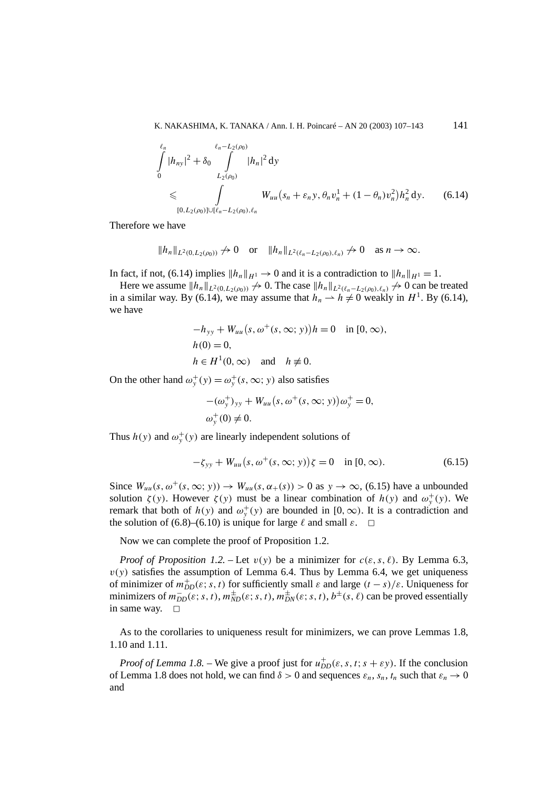$$
\int_{0}^{\ell_{n}} |h_{ny}|^{2} + \delta_{0} \int_{L_{2}(\rho_{0})}^{\ell_{n}-L_{2}(\rho_{0})} |h_{n}|^{2} dy
$$
\n
$$
\leqslant \int_{[0,L_{2}(\rho_{0})] \cup [\ell_{n}-L_{2}(\rho_{0}),\ell_{n}} W_{uu}(s_{n}+\varepsilon_{n} y, \theta_{n} v_{n}^{1} + (1-\theta_{n})v_{n}^{2}) h_{n}^{2} dy.
$$
\n(6.14)

Therefore we have

$$
||h_n||_{L^2(0,L_2(\rho_0))} \nrightarrow 0 \quad \text{or} \quad ||h_n||_{L^2(\ell_n - L_2(\rho_0),\ell_n)} \nrightarrow 0 \quad \text{as } n \to \infty.
$$

In fact, if not, (6.14) implies  $||h_n||_{H^1} \to 0$  and it is a contradiction to  $||h_n||_{H^1} = 1$ .

Here we assume  $||h_n||_{L^2(0,L_2(\rho_0))} \nrightarrow 0$ . The case  $||h_n||_{L^2(\ell_n-L_2(\rho_0),\ell_n)} \nrightarrow 0$  can be treated in a similar way. By (6.14), we may assume that  $h_n \rightharpoonup h \neq 0$  weakly in  $H^1$ . By (6.14), we have

$$
-h_{yy} + W_{uu}(s, \omega^+(s, \infty; y))h = 0 \quad \text{in } [0, \infty),
$$
  
 
$$
h(0) = 0,
$$
  
 
$$
h \in H^1(0, \infty) \quad \text{and} \quad h \neq 0.
$$

On the other hand  $\omega_y^+(y) = \omega_y^+(s, \infty; y)$  also satisfies

$$
-(\omega_{y}^{+})_{yy} + W_{uu}(s, \omega^{+}(s, \infty; y))\omega_{y}^{+} = 0,
$$
  

$$
\omega_{y}^{+}(0) \neq 0.
$$

Thus  $h(y)$  and  $\omega_y^+(y)$  are linearly independent solutions of

$$
-\zeta_{yy} + W_{uu}(s, \omega^+(s, \infty; y))\zeta = 0 \quad \text{in } [0, \infty). \tag{6.15}
$$

Since  $W_{uu}(s, \omega^+(s, \infty; y)) \to W_{uu}(s, \alpha_+(s)) > 0$  as  $y \to \infty$ , (6.15) have a unbounded solution  $\zeta(y)$ . However  $\zeta(y)$  must be a linear combination of  $h(y)$  and  $\omega_y^+(y)$ . We remark that both of  $h(y)$  and  $\omega_y^+(y)$  are bounded in [0, ∞). It is a contradiction and the solution of (6.8)–(6.10) is unique for large  $\ell$  and small  $\varepsilon$ .  $\Box$ 

Now we can complete the proof of Proposition 1.2.

*Proof of Proposition 1.2.* – Let  $v(y)$  be a minimizer for  $c(\varepsilon, s, \ell)$ . By Lemma 6.3,  $v(y)$  satisfies the assumption of Lemma 6.4. Thus by Lemma 6.4, we get uniqueness of minimizer of  $m_{DD}^+(\varepsilon; s, t)$  for sufficiently small  $\varepsilon$  and large  $(t - s)/\varepsilon$ . Uniqueness for minimizers of  $m_{DD}^-(\varepsilon; s, t)$ ,  $m_{ND}^{\pm}(\varepsilon; s, t)$ ,  $m_{DN}^{\pm}(\varepsilon; s, t)$ ,  $b^{\pm}(s, \ell)$  can be proved essentially in same way.  $\square$ 

As to the corollaries to uniqueness result for minimizers, we can prove Lemmas 1.8, 1.10 and 1.11.

*Proof of Lemma 1.8.* – We give a proof just for  $u_{DD}^+(\varepsilon, s, t; s + \varepsilon y)$ . If the conclusion of Lemma 1.8 does not hold, we can find  $\delta > 0$  and sequences  $\varepsilon_n$ ,  $s_n$ ,  $t_n$  such that  $\varepsilon_n \to 0$ and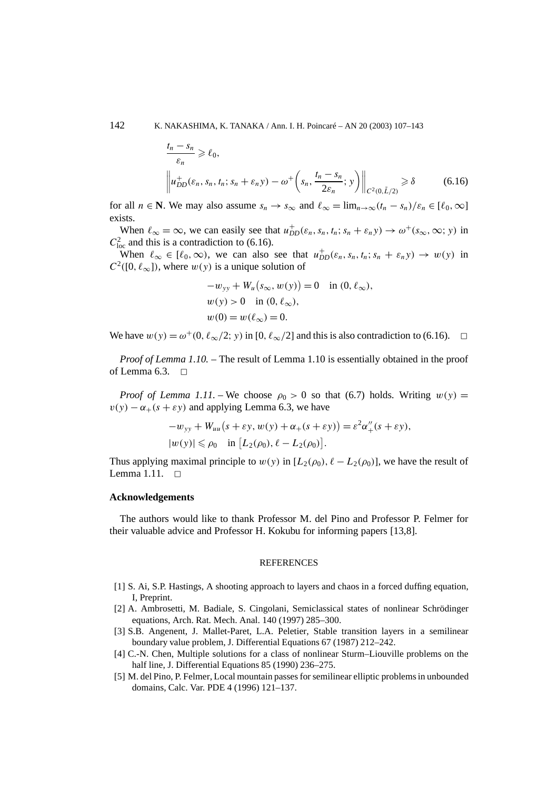$$
\frac{t_n - s_n}{\varepsilon_n} \ge \ell_0,
$$
\n
$$
\left\| u_{DD}^+(\varepsilon_n, s_n, t_n; s_n + \varepsilon_n y) - \omega^+ \left( s_n, \frac{t_n - s_n}{2\varepsilon_n}; y \right) \right\|_{C^2(0, \tilde{L}/2)} \ge \delta \tag{6.16}
$$

for all  $n \in \mathbb{N}$ . We may also assume  $s_n \to s_\infty$  and  $\ell_\infty = \lim_{n \to \infty} (t_n - s_n)/\epsilon_n \in [\ell_0, \infty]$ exists.

When  $\ell_{\infty} = \infty$ , we can easily see that  $u_{DD}^+(\varepsilon_n, s_n, t_n; s_n + \varepsilon_n y) \to \omega^+(s_{\infty}, \infty; y)$  in  $C_{\text{loc}}^2$  and this is a contradiction to (6.16).

When  $\ell_{\infty} \in [\ell_0, \infty)$ , we can also see that  $u_{DD}^+(\varepsilon_n, s_n, t_n; s_n + \varepsilon_n y) \to w(y)$  in  $C^2([0, \ell_\infty])$ , where  $w(y)$  is a unique solution of

$$
-w_{yy} + W_u(s_{\infty}, w(y)) = 0 \text{ in } (0, \ell_{\infty}),
$$
  
 
$$
w(y) > 0 \text{ in } (0, \ell_{\infty}),
$$
  
 
$$
w(0) = w(\ell_{\infty}) = 0.
$$

We have  $w(y) = \omega^+(0, \ell_\infty/2; y)$  in [0,  $\ell_\infty/2$ ] and this is also contradiction to (6.16).  $\Box$ 

*Proof of Lemma 1.10. –* The result of Lemma 1.10 is essentially obtained in the proof of Lemma 6.3.  $\Box$ 

*Proof of Lemma 1.11.* – We choose  $\rho_0 > 0$  so that (6.7) holds. Writing  $w(y) =$  $v(y) - \alpha_+(s + \varepsilon y)$  and applying Lemma 6.3, we have

$$
-w_{yy} + W_{uu}(s + \varepsilon y, w(y) + \alpha_+(s + \varepsilon y)) = \varepsilon^2 \alpha''_+(s + \varepsilon y),
$$
  

$$
|w(y)| \le \rho_0 \quad \text{in } [L_2(\rho_0), \ell - L_2(\rho_0)].
$$

Thus applying maximal principle to  $w(y)$  in  $[L_2(\rho_0), \ell - L_2(\rho_0)]$ , we have the result of Lemma 1.11.  $\square$ 

#### **Acknowledgements**

The authors would like to thank Professor M. del Pino and Professor P. Felmer for their valuable advice and Professor H. Kokubu for informing papers [13,8].

#### **REFERENCES**

- [1] S. Ai, S.P. Hastings, A shooting approach to layers and chaos in a forced duffing equation, I, Preprint.
- [2] A. Ambrosetti, M. Badiale, S. Cingolani, Semiclassical states of nonlinear Schrödinger equations, Arch. Rat. Mech. Anal. 140 (1997) 285–300.
- [3] S.B. Angenent, J. Mallet-Paret, L.A. Peletier, Stable transition layers in a semilinear boundary value problem, J. Differential Equations 67 (1987) 212–242.
- [4] C.-N. Chen, Multiple solutions for a class of nonlinear Sturm–Liouville problems on the half line, J. Differential Equations 85 (1990) 236–275.
- [5] M. del Pino, P. Felmer, Local mountain passes for semilinear elliptic problems in unbounded domains, Calc. Var. PDE 4 (1996) 121–137.